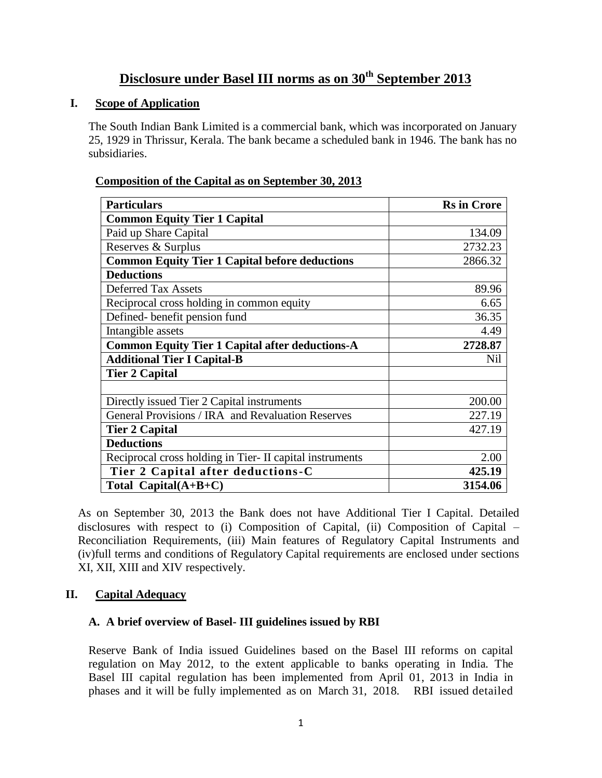## **Disclosure under Basel III norms as on 30th September 2013**

#### **I. Scope of Application**

The South Indian Bank Limited is a commercial bank, which was incorporated on January 25, 1929 in Thrissur, Kerala. The bank became a scheduled bank in 1946. The bank has no subsidiaries.

| <b>Particulars</b>                                       | <b>Rs</b> in Crore |
|----------------------------------------------------------|--------------------|
| <b>Common Equity Tier 1 Capital</b>                      |                    |
| Paid up Share Capital                                    | 134.09             |
| Reserves & Surplus                                       | 2732.23            |
| <b>Common Equity Tier 1 Capital before deductions</b>    | 2866.32            |
| <b>Deductions</b>                                        |                    |
| <b>Deferred Tax Assets</b>                               | 89.96              |
| Reciprocal cross holding in common equity                | 6.65               |
| Defined-benefit pension fund                             | 36.35              |
| Intangible assets                                        | 4.49               |
| <b>Common Equity Tier 1 Capital after deductions-A</b>   | 2728.87            |
| <b>Additional Tier I Capital-B</b>                       | Nil                |
| <b>Tier 2 Capital</b>                                    |                    |
|                                                          |                    |
| Directly issued Tier 2 Capital instruments               | 200.00             |
| General Provisions / IRA and Revaluation Reserves        | 227.19             |
| <b>Tier 2 Capital</b>                                    | 427.19             |
| <b>Deductions</b>                                        |                    |
| Reciprocal cross holding in Tier- II capital instruments | 2.00               |
| Tier 2 Capital after deductions-C                        | 425.19             |
| Total Capital $(A+B+C)$                                  | 3154.06            |

#### **Composition of the Capital as on September 30, 2013**

As on September 30, 2013 the Bank does not have Additional Tier I Capital. Detailed disclosures with respect to (i) Composition of Capital, (ii) Composition of Capital – Reconciliation Requirements, (iii) Main features of Regulatory Capital Instruments and (iv)full terms and conditions of Regulatory Capital requirements are enclosed under sections XI, XII, XIII and XIV respectively.

#### **II. Capital Adequacy**

#### **A. A brief overview of Basel- III guidelines issued by RBI**

Reserve Bank of India issued Guidelines based on the Basel III reforms on capital regulation on May 2012, to the extent applicable to banks operating in India. The Basel III capital regulation has been implemented from April 01, 2013 in India in phases and it will be fully implemented as on March 31, 2018. RBI issued detailed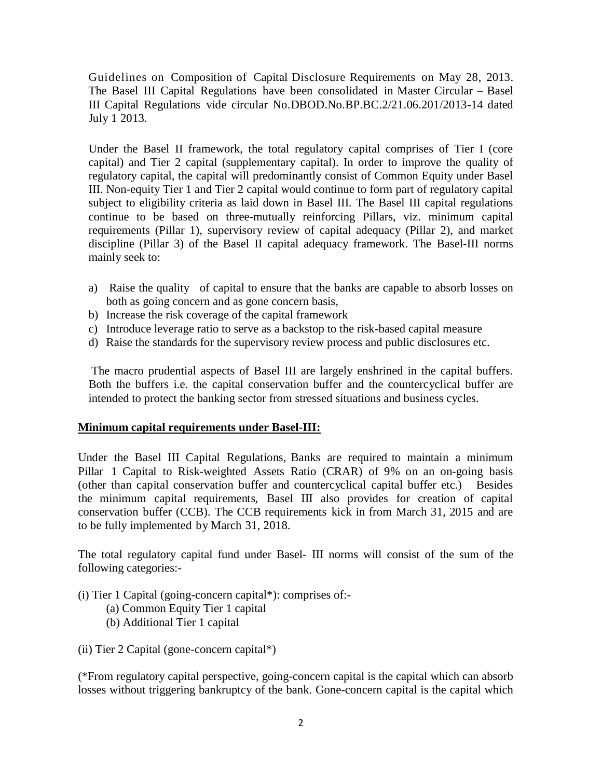Guidelines on Composition of Capital Disclosure Requirements on May 28, 2013. The Basel III Capital Regulations have been consolidated in Master Circular – Basel III Capital Regulations vide circular No.DBOD.No.BP.BC.2/21.06.201/2013-14 dated July 1 2013.

Under the Basel II framework, the total regulatory capital comprises of Tier I (core capital) and Tier 2 capital (supplementary capital). In order to improve the quality of regulatory capital, the capital will predominantly consist of Common Equity under Basel III. Non-equity Tier 1 and Tier 2 capital would continue to form part of regulatory capital subject to eligibility criteria as laid down in Basel III. The Basel III capital regulations continue to be based on three-mutually reinforcing Pillars, viz. minimum capital requirements (Pillar 1), supervisory review of capital adequacy (Pillar 2), and market discipline (Pillar 3) of the Basel II capital adequacy framework. The Basel-III norms mainly seek to:

- a) Raise the quality of capital to ensure that the banks are capable to absorb losses on both as going concern and as gone concern basis,
- b) Increase the risk coverage of the capital framework
- c) Introduce leverage ratio to serve as a backstop to the risk-based capital measure
- d) Raise the standards for the supervisory review process and public disclosures etc.

The macro prudential aspects of Basel III are largely enshrined in the capital buffers. Both the buffers i.e. the capital conservation buffer and the countercyclical buffer are intended to protect the banking sector from stressed situations and business cycles.

#### **Minimum capital requirements under Basel-III:**

Under the Basel III Capital Regulations, Banks are required to maintain a minimum Pillar 1 Capital to Risk-weighted Assets Ratio (CRAR) of 9% on an on-going basis (other than capital conservation buffer and countercyclical capital buffer etc.) Besides the minimum capital requirements, Basel III also provides for creation of capital conservation buffer (CCB). The CCB requirements kick in from March 31, 2015 and are to be fully implemented by March 31, 2018.

The total regulatory capital fund under Basel- III norms will consist of the sum of the following categories:-

- (i) Tier 1 Capital (going-concern capital\*): comprises of:-
	- (a) Common Equity Tier 1 capital
	- (b) Additional Tier 1 capital
- (ii) Tier 2 Capital (gone-concern capital\*)

(\*From regulatory capital perspective, going-concern capital is the capital which can absorb losses without triggering bankruptcy of the bank. Gone-concern capital is the capital which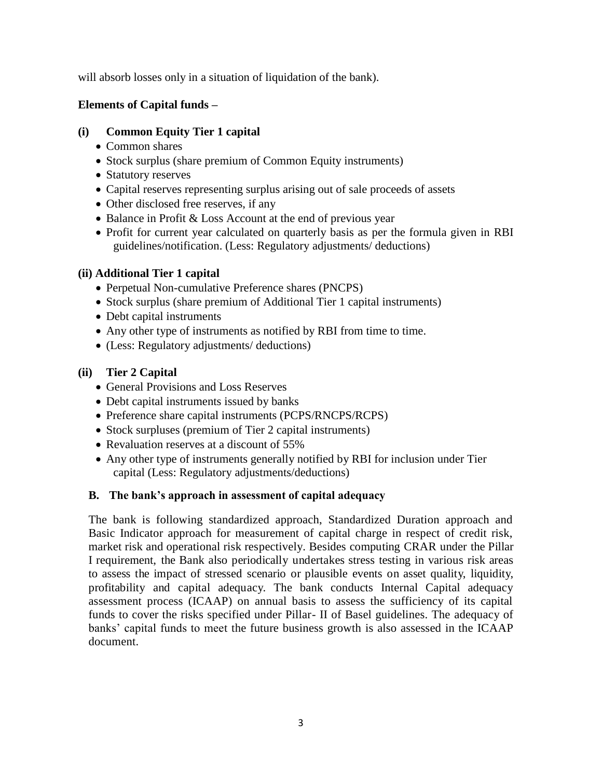will absorb losses only in a situation of liquidation of the bank).

#### **Elements of Capital funds –**

#### **(i) Common Equity Tier 1 capital**

- Common shares
- Stock surplus (share premium of Common Equity instruments)
- Statutory reserves
- Capital reserves representing surplus arising out of sale proceeds of assets
- Other disclosed free reserves, if any
- Balance in Profit & Loss Account at the end of previous year
- Profit for current year calculated on quarterly basis as per the formula given in RBI guidelines/notification. (Less: Regulatory adjustments/ deductions)

### **(ii) Additional Tier 1 capital**

- Perpetual Non-cumulative Preference shares (PNCPS)
- Stock surplus (share premium of Additional Tier 1 capital instruments)
- Debt capital instruments
- Any other type of instruments as notified by RBI from time to time.
- (Less: Regulatory adjustments/ deductions)

### **(ii) Tier 2 Capital**

- General Provisions and Loss Reserves
- Debt capital instruments issued by banks
- Preference share capital instruments (PCPS/RNCPS/RCPS)
- Stock surpluses (premium of Tier 2 capital instruments)
- Revaluation reserves at a discount of 55%
- Any other type of instruments generally notified by RBI for inclusion under Tier capital (Less: Regulatory adjustments/deductions)

## **B. The bank's approach in assessment of capital adequacy**

The bank is following standardized approach, Standardized Duration approach and Basic Indicator approach for measurement of capital charge in respect of credit risk, market risk and operational risk respectively. Besides computing CRAR under the Pillar I requirement, the Bank also periodically undertakes stress testing in various risk areas to assess the impact of stressed scenario or plausible events on asset quality, liquidity, profitability and capital adequacy. The bank conducts Internal Capital adequacy assessment process (ICAAP) on annual basis to assess the sufficiency of its capital funds to cover the risks specified under Pillar- II of Basel guidelines. The adequacy of banks" capital funds to meet the future business growth is also assessed in the ICAAP document.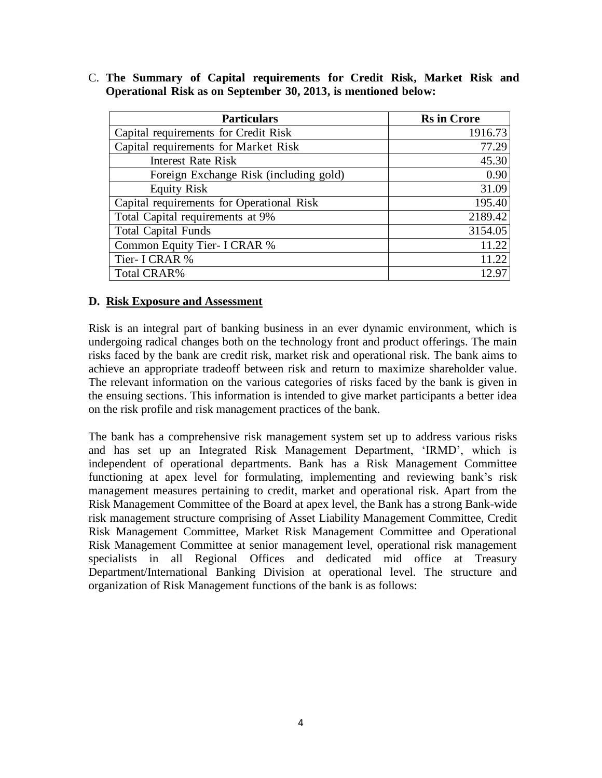| <b>Particulars</b>                        | <b>Rs</b> in Crore |
|-------------------------------------------|--------------------|
| Capital requirements for Credit Risk      | 1916.73            |
| Capital requirements for Market Risk      | 77.29              |
| <b>Interest Rate Risk</b>                 | 45.30              |
| Foreign Exchange Risk (including gold)    | 0.90               |
| <b>Equity Risk</b>                        | 31.09              |
| Capital requirements for Operational Risk | 195.40             |
| Total Capital requirements at 9%          | 2189.42            |
| <b>Total Capital Funds</b>                | 3154.05            |
| Common Equity Tier- I CRAR %              | 11.22              |
| Tier- I CRAR %                            | 11.22              |
| <b>Total CRAR%</b>                        | 12.97              |

C. **The Summary of Capital requirements for Credit Risk, Market Risk and Operational Risk as on September 30, 2013, is mentioned below:**

#### **D. Risk Exposure and Assessment**

Risk is an integral part of banking business in an ever dynamic environment, which is undergoing radical changes both on the technology front and product offerings. The main risks faced by the bank are credit risk, market risk and operational risk. The bank aims to achieve an appropriate tradeoff between risk and return to maximize shareholder value. The relevant information on the various categories of risks faced by the bank is given in the ensuing sections. This information is intended to give market participants a better idea on the risk profile and risk management practices of the bank.

The bank has a comprehensive risk management system set up to address various risks and has set up an Integrated Risk Management Department, "IRMD", which is independent of operational departments. Bank has a Risk Management Committee functioning at apex level for formulating, implementing and reviewing bank"s risk management measures pertaining to credit, market and operational risk. Apart from the Risk Management Committee of the Board at apex level, the Bank has a strong Bank-wide risk management structure comprising of Asset Liability Management Committee, Credit Risk Management Committee, Market Risk Management Committee and Operational Risk Management Committee at senior management level, operational risk management specialists in all Regional Offices and dedicated mid office at Treasury Department/International Banking Division at operational level. The structure and organization of Risk Management functions of the bank is as follows: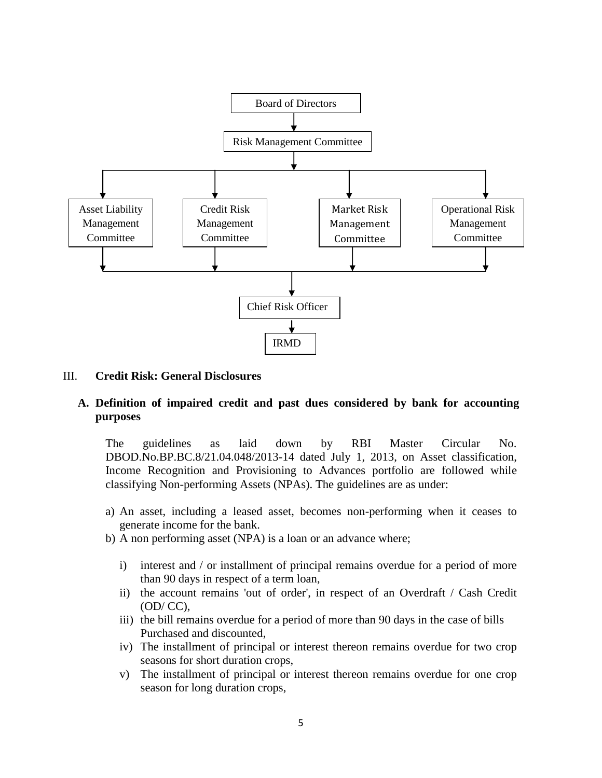

#### III. **Credit Risk: General Disclosures**

#### **A. Definition of impaired credit and past dues considered by bank for accounting purposes**

The guidelines as laid down by RBI Master Circular No. DBOD.No.BP.BC.8/21.04.048/2013-14 dated July 1, 2013, on Asset classification, Income Recognition and Provisioning to Advances portfolio are followed while classifying Non-performing Assets (NPAs). The guidelines are as under:

- a) An asset, including a leased asset, becomes non-performing when it ceases to generate income for the bank.
- b) A non performing asset (NPA) is a loan or an advance where;
	- i) interest and / or installment of principal remains overdue for a period of more than 90 days in respect of a term loan,
	- ii) the account remains 'out of order', in respect of an Overdraft / Cash Credit (OD/ CC),
	- iii) the bill remains overdue for a period of more than 90 days in the case of bills Purchased and discounted,
	- iv) The installment of principal or interest thereon remains overdue for two crop seasons for short duration crops,
	- v) The installment of principal or interest thereon remains overdue for one crop season for long duration crops,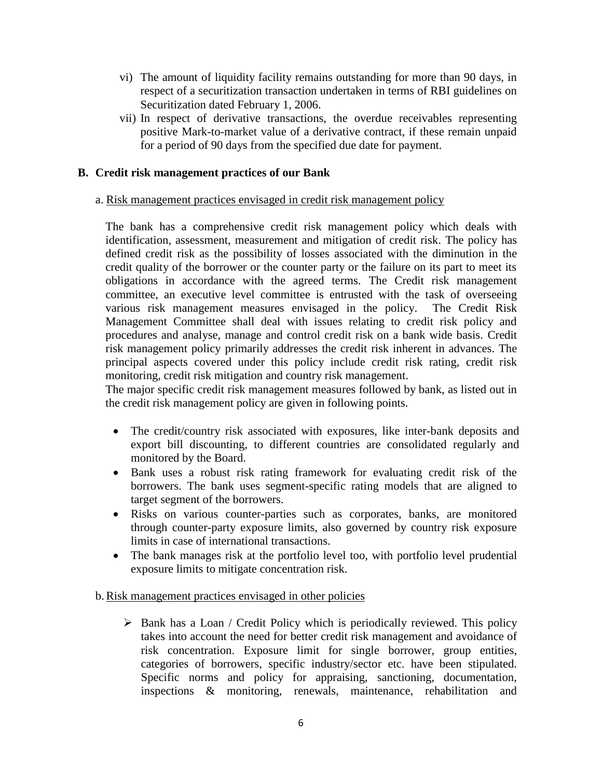- vi) The amount of liquidity facility remains outstanding for more than 90 days, in respect of a securitization transaction undertaken in terms of RBI guidelines on Securitization dated February 1, 2006.
- vii) In respect of derivative transactions, the overdue receivables representing positive Mark-to-market value of a derivative contract, if these remain unpaid for a period of 90 days from the specified due date for payment.

#### **B. Credit risk management practices of our Bank**

#### a. Risk management practices envisaged in credit risk management policy

The bank has a comprehensive credit risk management policy which deals with identification, assessment, measurement and mitigation of credit risk. The policy has defined credit risk as the possibility of losses associated with the diminution in the credit quality of the borrower or the counter party or the failure on its part to meet its obligations in accordance with the agreed terms. The Credit risk management committee, an executive level committee is entrusted with the task of overseeing various risk management measures envisaged in the policy. The Credit Risk Management Committee shall deal with issues relating to credit risk policy and procedures and analyse, manage and control credit risk on a bank wide basis. Credit risk management policy primarily addresses the credit risk inherent in advances. The principal aspects covered under this policy include credit risk rating, credit risk monitoring, credit risk mitigation and country risk management.

The major specific credit risk management measures followed by bank, as listed out in the credit risk management policy are given in following points.

- The credit/country risk associated with exposures, like inter-bank deposits and export bill discounting, to different countries are consolidated regularly and monitored by the Board.
- Bank uses a robust risk rating framework for evaluating credit risk of the borrowers. The bank uses segment-specific rating models that are aligned to target segment of the borrowers.
- Risks on various counter-parties such as corporates, banks, are monitored through counter-party exposure limits, also governed by country risk exposure limits in case of international transactions.
- The bank manages risk at the portfolio level too, with portfolio level prudential exposure limits to mitigate concentration risk.
- b.Risk management practices envisaged in other policies
	- $\triangleright$  Bank has a Loan / Credit Policy which is periodically reviewed. This policy takes into account the need for better credit risk management and avoidance of risk concentration. Exposure limit for single borrower, group entities, categories of borrowers, specific industry/sector etc. have been stipulated. Specific norms and policy for appraising, sanctioning, documentation, inspections & monitoring, renewals, maintenance, rehabilitation and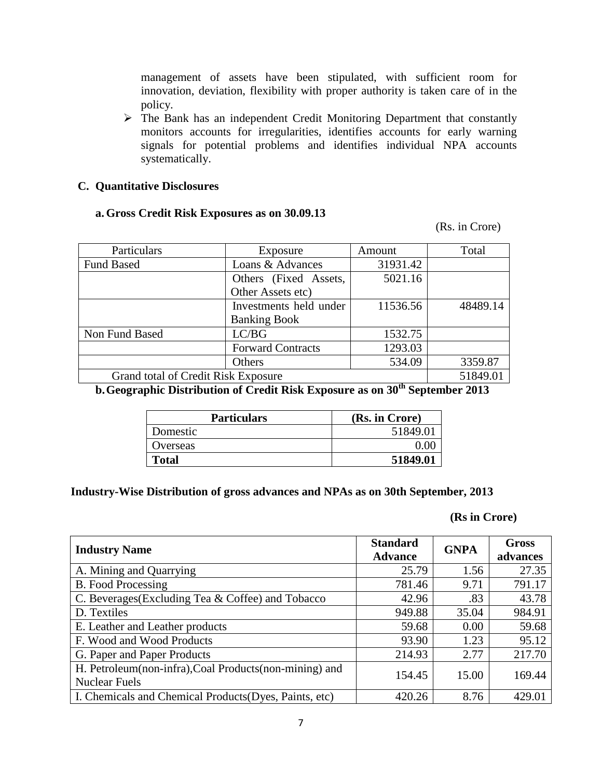management of assets have been stipulated, with sufficient room for innovation, deviation, flexibility with proper authority is taken care of in the policy.

 $\triangleright$  The Bank has an independent Credit Monitoring Department that constantly monitors accounts for irregularities, identifies accounts for early warning signals for potential problems and identifies individual NPA accounts systematically.

#### **C. Quantitative Disclosures**

#### **a. Gross Credit Risk Exposures as on 30.09.13**

(Rs. in Crore)

| Particulars                         | Exposure                 | Amount   | Total    |
|-------------------------------------|--------------------------|----------|----------|
| <b>Fund Based</b>                   | Loans & Advances         | 31931.42 |          |
|                                     | Others (Fixed Assets,    | 5021.16  |          |
|                                     | Other Assets etc)        |          |          |
|                                     | Investments held under   | 11536.56 | 48489.14 |
|                                     | <b>Banking Book</b>      |          |          |
| Non Fund Based                      | LC/BG                    | 1532.75  |          |
|                                     | <b>Forward Contracts</b> | 1293.03  |          |
|                                     | Others                   | 534.09   | 3359.87  |
| Grand total of Credit Risk Exposure |                          |          | 51849.01 |

**b.Geographic Distribution of Credit Risk Exposure as on 30th September 2013**

| <b>Particulars</b> | (Rs. in Crore) |
|--------------------|----------------|
| Domestic           | 51849.01       |
| Overseas           |                |
| <b>Total</b>       | 51849.01       |

#### **Industry-Wise Distribution of gross advances and NPAs as on 30th September, 2013**

#### **(Rs in Crore)**

| <b>Industry Name</b>                                                           | <b>Standard</b><br><b>Advance</b> | <b>GNPA</b> | <b>Gross</b><br>advances |
|--------------------------------------------------------------------------------|-----------------------------------|-------------|--------------------------|
| A. Mining and Quarrying                                                        | 25.79                             | 1.56        | 27.35                    |
| <b>B.</b> Food Processing                                                      | 781.46                            | 9.71        | 791.17                   |
| C. Beverages (Excluding Tea & Coffee) and Tobacco                              | 42.96                             | .83         | 43.78                    |
| D. Textiles                                                                    | 949.88                            | 35.04       | 984.91                   |
| E. Leather and Leather products                                                | 59.68                             | 0.00        | 59.68                    |
| F. Wood and Wood Products                                                      | 93.90                             | 1.23        | 95.12                    |
| G. Paper and Paper Products                                                    | 214.93                            | 2.77        | 217.70                   |
| H. Petroleum(non-infra), Coal Products(non-mining) and<br><b>Nuclear Fuels</b> | 154.45                            | 15.00       | 169.44                   |
| I. Chemicals and Chemical Products (Dyes, Paints, etc)                         | 420.26                            | 8.76        | 429.01                   |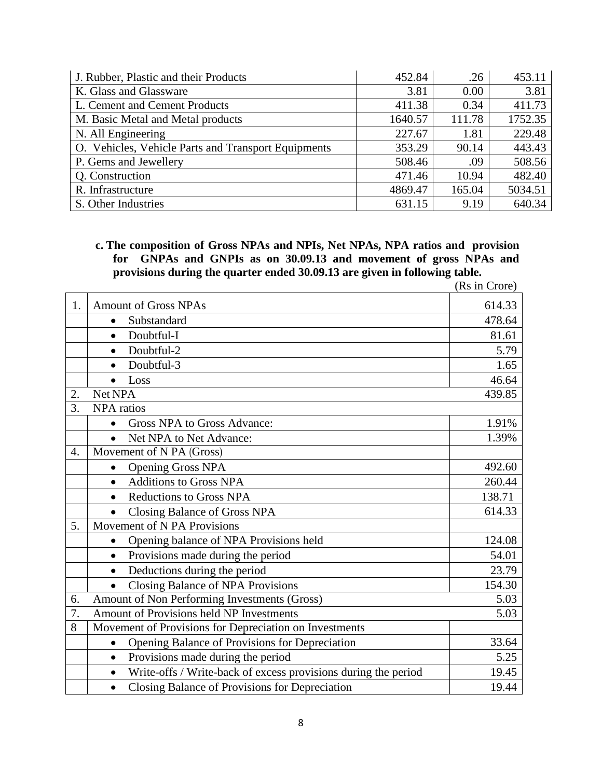| J. Rubber, Plastic and their Products               | 452.84  | .26    | 453.11  |
|-----------------------------------------------------|---------|--------|---------|
| K. Glass and Glassware                              | 3.81    | 0.00   | 3.81    |
| L. Cement and Cement Products                       | 411.38  | 0.34   | 411.73  |
| M. Basic Metal and Metal products                   | 1640.57 | 111.78 | 1752.35 |
| N. All Engineering                                  | 227.67  | 1.81   | 229.48  |
| O. Vehicles, Vehicle Parts and Transport Equipments | 353.29  | 90.14  | 443.43  |
| P. Gems and Jewellery                               | 508.46  | .09    | 508.56  |
| Q. Construction                                     | 471.46  | 10.94  | 482.40  |
| R. Infrastructure                                   | 4869.47 | 165.04 | 5034.51 |
| S. Other Industries                                 | 631.15  | 9.19   | 640.34  |

**c. The composition of Gross NPAs and NPIs, Net NPAs, NPA ratios and provision for GNPAs and GNPIs as on 30.09.13 and movement of gross NPAs and provisions during the quarter ended 30.09.13 are given in following table.**

| 1. | <b>Amount of Gross NPAs</b>                                                 | 614.33 |
|----|-----------------------------------------------------------------------------|--------|
|    | Substandard<br>$\bullet$                                                    | 478.64 |
|    | Doubtful-I<br>$\bullet$                                                     | 81.61  |
|    | Doubtful-2<br>$\bullet$                                                     | 5.79   |
|    | Doubtful-3<br>$\bullet$                                                     | 1.65   |
|    | Loss<br>$\bullet$                                                           | 46.64  |
| 2. | Net NPA                                                                     | 439.85 |
| 3. | <b>NPA</b> ratios                                                           |        |
|    | Gross NPA to Gross Advance:<br>$\bullet$                                    | 1.91%  |
|    | Net NPA to Net Advance:<br>$\bullet$                                        | 1.39%  |
| 4. | Movement of N PA (Gross)                                                    |        |
|    | <b>Opening Gross NPA</b><br>$\bullet$                                       | 492.60 |
|    | <b>Additions to Gross NPA</b><br>$\bullet$                                  | 260.44 |
|    | <b>Reductions to Gross NPA</b>                                              | 138.71 |
|    | Closing Balance of Gross NPA<br>$\bullet$                                   | 614.33 |
| 5. | Movement of N PA Provisions                                                 |        |
|    | Opening balance of NPA Provisions held<br>$\bullet$                         | 124.08 |
|    | Provisions made during the period<br>$\bullet$                              | 54.01  |
|    | Deductions during the period<br>$\bullet$                                   | 23.79  |
|    | Closing Balance of NPA Provisions<br>$\bullet$                              | 154.30 |
| 6. | Amount of Non Performing Investments (Gross)                                | 5.03   |
| 7. | Amount of Provisions held NP Investments                                    | 5.03   |
| 8  | Movement of Provisions for Depreciation on Investments                      |        |
|    | Opening Balance of Provisions for Depreciation<br>$\bullet$                 | 33.64  |
|    | Provisions made during the period<br>$\bullet$                              | 5.25   |
|    | Write-offs / Write-back of excess provisions during the period<br>$\bullet$ | 19.45  |
|    | Closing Balance of Provisions for Depreciation<br>$\bullet$                 | 19.44  |

(Rs in Crore)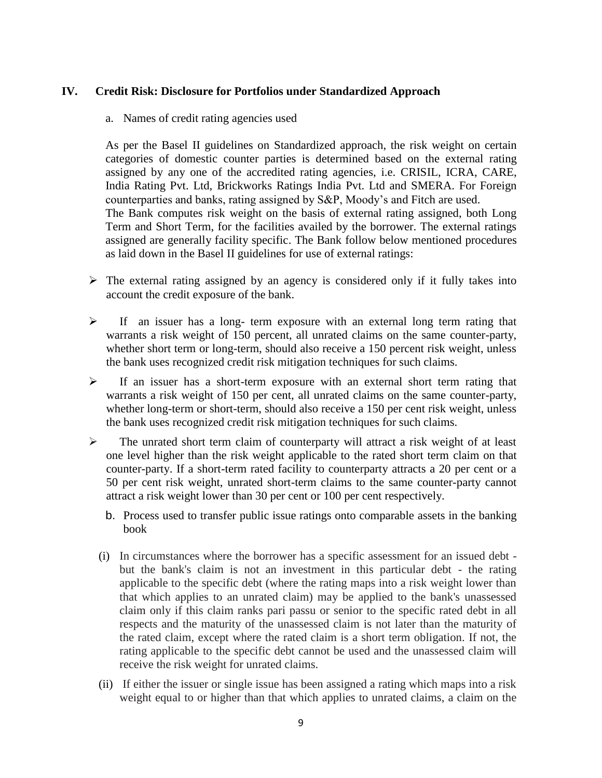#### **IV. Credit Risk: Disclosure for Portfolios under Standardized Approach**

a. Names of credit rating agencies used

As per the Basel II guidelines on Standardized approach, the risk weight on certain categories of domestic counter parties is determined based on the external rating assigned by any one of the accredited rating agencies, i.e. CRISIL, ICRA, CARE, India Rating Pvt. Ltd, Brickworks Ratings India Pvt. Ltd and SMERA. For Foreign counterparties and banks, rating assigned by S&P, Moody"s and Fitch are used. The Bank computes risk weight on the basis of external rating assigned, both Long Term and Short Term, for the facilities availed by the borrower. The external ratings assigned are generally facility specific. The Bank follow below mentioned procedures as laid down in the Basel II guidelines for use of external ratings:

- $\triangleright$  The external rating assigned by an agency is considered only if it fully takes into account the credit exposure of the bank.
- $\triangleright$  If an issuer has a long- term exposure with an external long term rating that warrants a risk weight of 150 percent, all unrated claims on the same counter-party, whether short term or long-term, should also receive a 150 percent risk weight, unless the bank uses recognized credit risk mitigation techniques for such claims.
- $\triangleright$  If an issuer has a short-term exposure with an external short term rating that warrants a risk weight of 150 per cent, all unrated claims on the same counter-party, whether long-term or short-term, should also receive a 150 per cent risk weight, unless the bank uses recognized credit risk mitigation techniques for such claims.
- $\triangleright$  The unrated short term claim of counterparty will attract a risk weight of at least one level higher than the risk weight applicable to the rated short term claim on that counter-party. If a short-term rated facility to counterparty attracts a 20 per cent or a 50 per cent risk weight, unrated short-term claims to the same counter-party cannot attract a risk weight lower than 30 per cent or 100 per cent respectively.
	- b. Process used to transfer public issue ratings onto comparable assets in the banking book
	- (i) In circumstances where the borrower has a specific assessment for an issued debt but the bank's claim is not an investment in this particular debt - the rating applicable to the specific debt (where the rating maps into a risk weight lower than that which applies to an unrated claim) may be applied to the bank's unassessed claim only if this claim ranks pari passu or senior to the specific rated debt in all respects and the maturity of the unassessed claim is not later than the maturity of the rated claim, except where the rated claim is a short term obligation. If not, the rating applicable to the specific debt cannot be used and the unassessed claim will receive the risk weight for unrated claims.
	- (ii) If either the issuer or single issue has been assigned a rating which maps into a risk weight equal to or higher than that which applies to unrated claims, a claim on the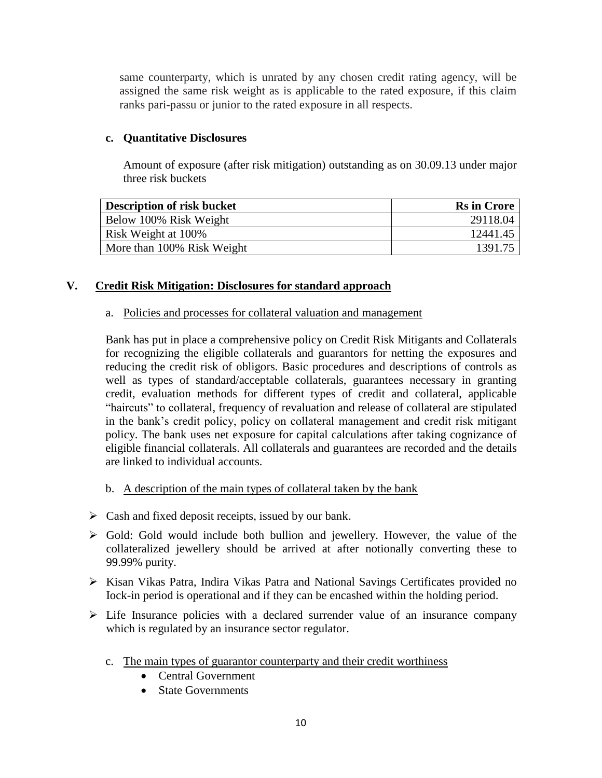same counterparty, which is unrated by any chosen credit rating agency, will be assigned the same risk weight as is applicable to the rated exposure, if this claim ranks pari-passu or junior to the rated exposure in all respects.

#### **c. Quantitative Disclosures**

Amount of exposure (after risk mitigation) outstanding as on 30.09.13 under major three risk buckets

| <b>Description of risk bucket</b> | <b>Rs</b> in Crore |
|-----------------------------------|--------------------|
| Below 100% Risk Weight            | 29118.04           |
| Risk Weight at 100%               | 12441.45           |
| More than 100% Risk Weight        | 1391.75            |

### **V. Credit Risk Mitigation: Disclosures for standard approach**

#### a. Policies and processes for collateral valuation and management

Bank has put in place a comprehensive policy on Credit Risk Mitigants and Collaterals for recognizing the eligible collaterals and guarantors for netting the exposures and reducing the credit risk of obligors. Basic procedures and descriptions of controls as well as types of standard/acceptable collaterals, guarantees necessary in granting credit, evaluation methods for different types of credit and collateral, applicable "haircuts" to collateral, frequency of revaluation and release of collateral are stipulated in the bank"s credit policy, policy on collateral management and credit risk mitigant policy. The bank uses net exposure for capital calculations after taking cognizance of eligible financial collaterals. All collaterals and guarantees are recorded and the details are linked to individual accounts.

#### b. A description of the main types of collateral taken by the bank

- $\triangleright$  Cash and fixed deposit receipts, issued by our bank.
- $\triangleright$  Gold: Gold would include both bullion and jewellery. However, the value of the collateralized jewellery should be arrived at after notionally converting these to 99.99% purity.
- Kisan Vikas Patra, Indira Vikas Patra and National Savings Certificates provided no Iock-in period is operational and if they can be encashed within the holding period.
- $\triangleright$  Life Insurance policies with a declared surrender value of an insurance company which is regulated by an insurance sector regulator.
	- c. The main types of guarantor counterparty and their credit worthiness
		- Central Government
		- State Governments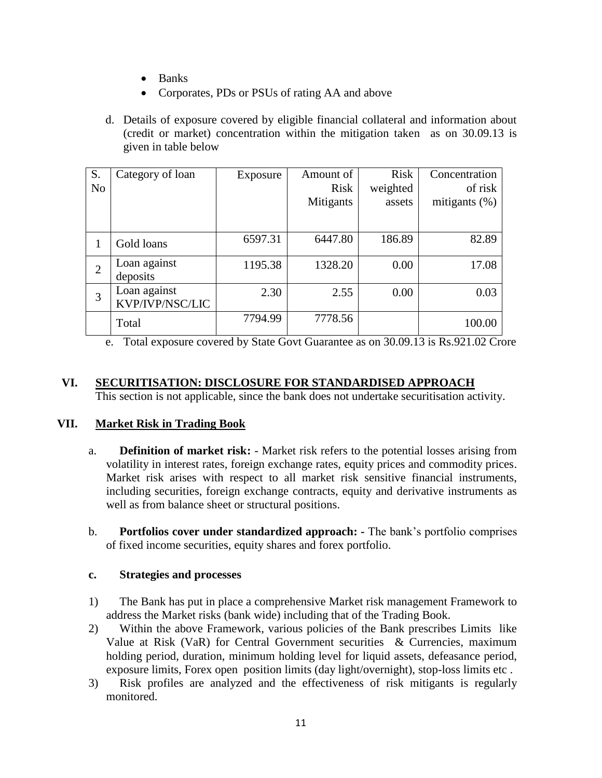- Banks
- Corporates, PDs or PSUs of rating AA and above
- d. Details of exposure covered by eligible financial collateral and information about (credit or market) concentration within the mitigation taken as on 30.09.13 is given in table below

| S.             | Category of loan | Exposure | Amount of   | <b>Risk</b> | Concentration    |
|----------------|------------------|----------|-------------|-------------|------------------|
| N <sub>o</sub> |                  |          | <b>Risk</b> | weighted    | of risk          |
|                |                  |          | Mitigants   | assets      | mitigants $(\%)$ |
|                |                  |          |             |             |                  |
|                | Gold loans       | 6597.31  | 6447.80     | 186.89      | 82.89            |
| $\overline{2}$ | Loan against     | 1195.38  | 1328.20     | 0.00        | 17.08            |
|                | deposits         |          |             |             |                  |
| 3              | Loan against     | 2.30     | 2.55        | 0.00        | 0.03             |
|                | KVP/IVP/NSC/LIC  |          |             |             |                  |
|                | Total            | 7794.99  | 7778.56     |             | 100.00           |

e. Total exposure covered by State Govt Guarantee as on 30.09.13 is Rs.921.02 Crore

#### **VI. SECURITISATION: DISCLOSURE FOR STANDARDISED APPROACH**

This section is not applicable, since the bank does not undertake securitisation activity.

#### **VII. Market Risk in Trading Book**

- a. **Definition of market risk:** Market risk refers to the potential losses arising from volatility in interest rates, foreign exchange rates, equity prices and commodity prices. Market risk arises with respect to all market risk sensitive financial instruments, including securities, foreign exchange contracts, equity and derivative instruments as well as from balance sheet or structural positions.
- b. **Portfolios cover under standardized approach: -** The bank"s portfolio comprises of fixed income securities, equity shares and forex portfolio.

#### **c. Strategies and processes**

- 1) The Bank has put in place a comprehensive Market risk management Framework to address the Market risks (bank wide) including that of the Trading Book.
- 2) Within the above Framework, various policies of the Bank prescribes Limits like Value at Risk (VaR) for Central Government securities & Currencies, maximum holding period, duration, minimum holding level for liquid assets, defeasance period, exposure limits, Forex open position limits (day light/overnight), stop-loss limits etc .
- 3) Risk profiles are analyzed and the effectiveness of risk mitigants is regularly monitored.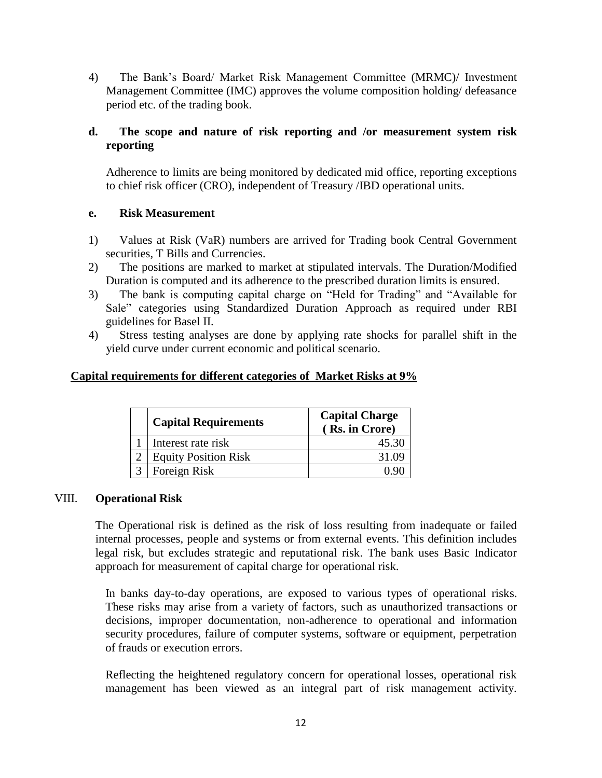4) The Bank"s Board/ Market Risk Management Committee (MRMC)/ Investment Management Committee (IMC) approves the volume composition holding/ defeasance period etc. of the trading book.

#### **d. The scope and nature of risk reporting and /or measurement system risk reporting**

Adherence to limits are being monitored by dedicated mid office, reporting exceptions to chief risk officer (CRO), independent of Treasury /IBD operational units.

#### **e. Risk Measurement**

- 1) Values at Risk (VaR) numbers are arrived for Trading book Central Government securities, T Bills and Currencies.
- 2) The positions are marked to market at stipulated intervals. The Duration/Modified Duration is computed and its adherence to the prescribed duration limits is ensured.
- 3) The bank is computing capital charge on "Held for Trading" and "Available for Sale" categories using Standardized Duration Approach as required under RBI guidelines for Basel II.
- 4) Stress testing analyses are done by applying rate shocks for parallel shift in the yield curve under current economic and political scenario.

#### **Capital requirements for different categories of Market Risks at 9%**

| <b>Capital Requirements</b> | <b>Capital Charge</b><br>(Rs. in Crore) |
|-----------------------------|-----------------------------------------|
| Interest rate risk          | 45.30                                   |
| <b>Equity Position Risk</b> |                                         |
| Foreign Risk                |                                         |

#### VIII. **Operational Risk**

The Operational risk is defined as the risk of loss resulting from inadequate or failed internal processes, people and systems or from external events. This definition includes legal risk, but excludes strategic and reputational risk. The bank uses Basic Indicator approach for measurement of capital charge for operational risk.

In banks day-to-day operations, are exposed to various types of operational risks. These risks may arise from a variety of factors, such as unauthorized transactions or decisions, improper documentation, non-adherence to operational and information security procedures, failure of computer systems, software or equipment, perpetration of frauds or execution errors.

Reflecting the heightened regulatory concern for operational losses, operational risk management has been viewed as an integral part of risk management activity.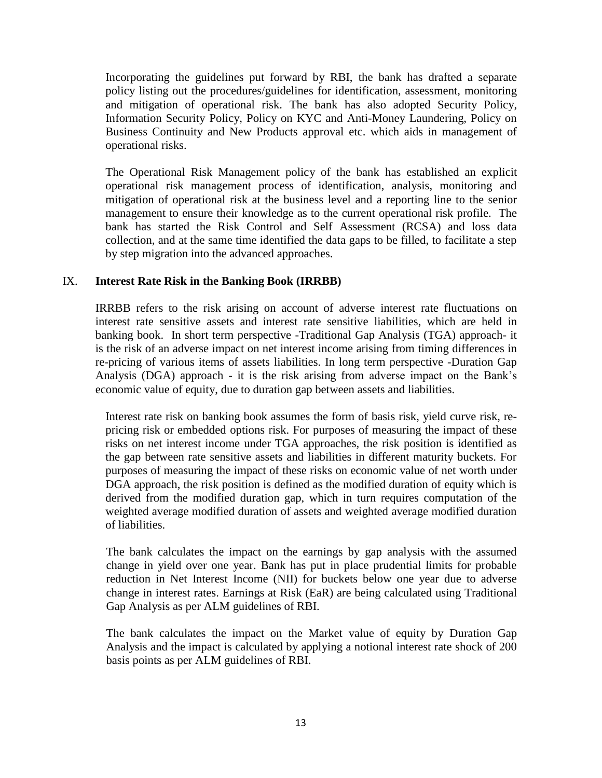Incorporating the guidelines put forward by RBI, the bank has drafted a separate policy listing out the procedures/guidelines for identification, assessment, monitoring and mitigation of operational risk. The bank has also adopted Security Policy, Information Security Policy, Policy on KYC and Anti-Money Laundering, Policy on Business Continuity and New Products approval etc. which aids in management of operational risks.

The Operational Risk Management policy of the bank has established an explicit operational risk management process of identification, analysis, monitoring and mitigation of operational risk at the business level and a reporting line to the senior management to ensure their knowledge as to the current operational risk profile. The bank has started the Risk Control and Self Assessment (RCSA) and loss data collection, and at the same time identified the data gaps to be filled, to facilitate a step by step migration into the advanced approaches.

#### IX. **Interest Rate Risk in the Banking Book (IRRBB)**

IRRBB refers to the risk arising on account of adverse interest rate fluctuations on interest rate sensitive assets and interest rate sensitive liabilities, which are held in banking book. In short term perspective -Traditional Gap Analysis (TGA) approach- it is the risk of an adverse impact on net interest income arising from timing differences in re-pricing of various items of assets liabilities. In long term perspective -Duration Gap Analysis (DGA) approach - it is the risk arising from adverse impact on the Bank"s economic value of equity, due to duration gap between assets and liabilities.

Interest rate risk on banking book assumes the form of basis risk, yield curve risk, repricing risk or embedded options risk. For purposes of measuring the impact of these risks on net interest income under TGA approaches, the risk position is identified as the gap between rate sensitive assets and liabilities in different maturity buckets. For purposes of measuring the impact of these risks on economic value of net worth under DGA approach, the risk position is defined as the modified duration of equity which is derived from the modified duration gap, which in turn requires computation of the weighted average modified duration of assets and weighted average modified duration of liabilities.

The bank calculates the impact on the earnings by gap analysis with the assumed change in yield over one year. Bank has put in place prudential limits for probable reduction in Net Interest Income (NII) for buckets below one year due to adverse change in interest rates. Earnings at Risk (EaR) are being calculated using Traditional Gap Analysis as per ALM guidelines of RBI.

The bank calculates the impact on the Market value of equity by Duration Gap Analysis and the impact is calculated by applying a notional interest rate shock of 200 basis points as per ALM guidelines of RBI.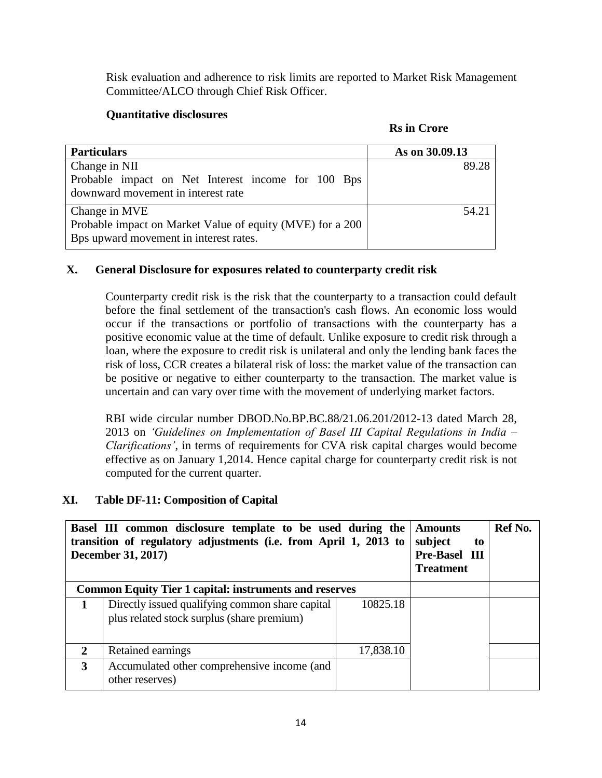Risk evaluation and adherence to risk limits are reported to Market Risk Management Committee/ALCO through Chief Risk Officer.

#### **Quantitative disclosures**

|  |  | <b>Rs</b> in Crore |
|--|--|--------------------|
|--|--|--------------------|

| <b>Particulars</b>                                                                       | As on 30.09.13 |
|------------------------------------------------------------------------------------------|----------------|
| Change in NII                                                                            | 89.28          |
| Probable impact on Net Interest income for 100 Bps<br>downward movement in interest rate |                |
| Change in MVE                                                                            | 54.21          |
| Probable impact on Market Value of equity (MVE) for a 200                                |                |
| Bps upward movement in interest rates.                                                   |                |

#### **X. General Disclosure for exposures related to counterparty credit risk**

Counterparty credit risk is the risk that the counterparty to a transaction could default before the final settlement of the transaction's cash flows. An economic loss would occur if the transactions or portfolio of transactions with the counterparty has a positive economic value at the time of default. Unlike exposure to credit risk through a loan, where the exposure to credit risk is unilateral and only the lending bank faces the risk of loss, CCR creates a bilateral risk of loss: the market value of the transaction can be positive or negative to either counterparty to the transaction. The market value is uncertain and can vary over time with the movement of underlying market factors.

RBI wide circular number DBOD.No.BP.BC.88/21.06.201/2012-13 dated March 28, 2013 on *'Guidelines on Implementation of Basel III Capital Regulations in India – Clarifications'*, in terms of requirements for CVA risk capital charges would become effective as on January 1,2014. Hence capital charge for counterparty credit risk is not computed for the current quarter.

#### **XI. Table DF-11: Composition of Capital**

|              | Basel III common disclosure template to be used during the<br>transition of regulatory adjustments (i.e. from April 1, 2013 to<br><b>December 31, 2017)</b> |           |  | Ref No. |
|--------------|-------------------------------------------------------------------------------------------------------------------------------------------------------------|-----------|--|---------|
|              | <b>Common Equity Tier 1 capital: instruments and reserves</b>                                                                                               |           |  |         |
|              | Directly issued qualifying common share capital<br>plus related stock surplus (share premium)                                                               | 10825.18  |  |         |
| $\mathbf{2}$ | Retained earnings                                                                                                                                           | 17,838.10 |  |         |
| 3            | Accumulated other comprehensive income (and<br>other reserves)                                                                                              |           |  |         |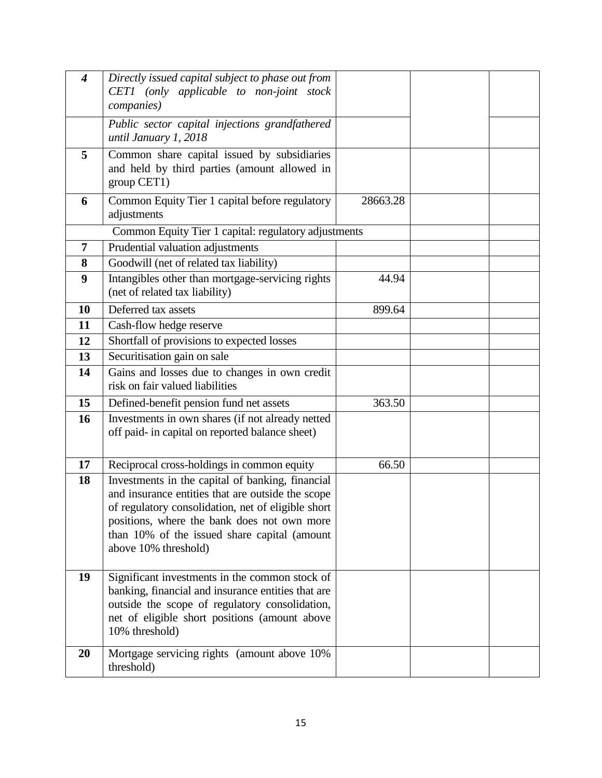| $\overline{\boldsymbol{4}}$ | Directly issued capital subject to phase out from<br>CET1 (only applicable to non-joint stock<br>companies)                                                                                                                                                                        |          |  |
|-----------------------------|------------------------------------------------------------------------------------------------------------------------------------------------------------------------------------------------------------------------------------------------------------------------------------|----------|--|
|                             | Public sector capital injections grandfathered<br>until January 1, 2018                                                                                                                                                                                                            |          |  |
| 5                           | Common share capital issued by subsidiaries<br>and held by third parties (amount allowed in<br>group CET1)                                                                                                                                                                         |          |  |
| 6                           | Common Equity Tier 1 capital before regulatory<br>adjustments                                                                                                                                                                                                                      | 28663.28 |  |
|                             | Common Equity Tier 1 capital: regulatory adjustments                                                                                                                                                                                                                               |          |  |
| 7                           | Prudential valuation adjustments                                                                                                                                                                                                                                                   |          |  |
| 8                           | Goodwill (net of related tax liability)                                                                                                                                                                                                                                            |          |  |
| 9                           | Intangibles other than mortgage-servicing rights<br>(net of related tax liability)                                                                                                                                                                                                 | 44.94    |  |
| 10                          | Deferred tax assets                                                                                                                                                                                                                                                                | 899.64   |  |
| 11                          | Cash-flow hedge reserve                                                                                                                                                                                                                                                            |          |  |
| 12                          | Shortfall of provisions to expected losses                                                                                                                                                                                                                                         |          |  |
| 13                          | Securitisation gain on sale                                                                                                                                                                                                                                                        |          |  |
| 14                          | Gains and losses due to changes in own credit<br>risk on fair valued liabilities                                                                                                                                                                                                   |          |  |
| 15                          | Defined-benefit pension fund net assets                                                                                                                                                                                                                                            | 363.50   |  |
| 16                          | Investments in own shares (if not already netted<br>off paid- in capital on reported balance sheet)                                                                                                                                                                                |          |  |
| 17                          | Reciprocal cross-holdings in common equity                                                                                                                                                                                                                                         | 66.50    |  |
| 18                          | Investments in the capital of banking, financial<br>and insurance entities that are outside the scope<br>of regulatory consolidation, net of eligible short<br>positions, where the bank does not own more<br>than 10% of the issued share capital (amount<br>above 10% threshold) |          |  |
| 19                          | Significant investments in the common stock of<br>banking, financial and insurance entities that are<br>outside the scope of regulatory consolidation,<br>net of eligible short positions (amount above<br>10% threshold)                                                          |          |  |
| 20                          | Mortgage servicing rights (amount above 10%)<br>threshold)                                                                                                                                                                                                                         |          |  |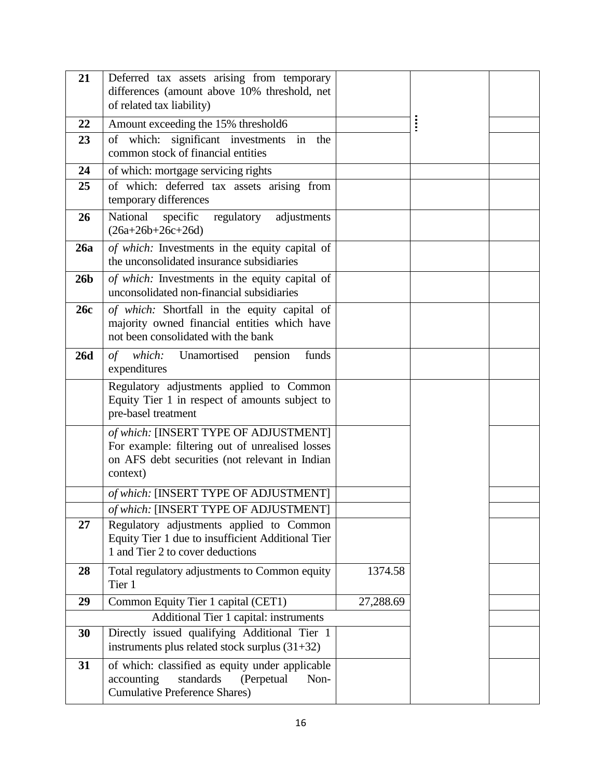| 21              | Deferred tax assets arising from temporary<br>differences (amount above 10% threshold, net<br>of related tax liability)                                |           |  |
|-----------------|--------------------------------------------------------------------------------------------------------------------------------------------------------|-----------|--|
| 22              | Amount exceeding the 15% threshold6                                                                                                                    |           |  |
| 23              | of which: significant investments in<br>the<br>common stock of financial entities                                                                      |           |  |
| 24              | of which: mortgage servicing rights                                                                                                                    |           |  |
| 25              | of which: deferred tax assets arising from<br>temporary differences                                                                                    |           |  |
| 26              | National<br>specific<br>regulatory<br>adjustments<br>$(26a+26b+26c+26d)$                                                                               |           |  |
| 26a             | of which: Investments in the equity capital of<br>the unconsolidated insurance subsidiaries                                                            |           |  |
| 26 <sub>b</sub> | of which: Investments in the equity capital of<br>unconsolidated non-financial subsidiaries                                                            |           |  |
| 26c             | of which: Shortfall in the equity capital of<br>majority owned financial entities which have<br>not been consolidated with the bank                    |           |  |
| <b>26d</b>      | of which: Unamortised pension<br>funds<br>expenditures                                                                                                 |           |  |
|                 | Regulatory adjustments applied to Common<br>Equity Tier 1 in respect of amounts subject to<br>pre-basel treatment                                      |           |  |
|                 | of which: [INSERT TYPE OF ADJUSTMENT]<br>For example: filtering out of unrealised losses<br>on AFS debt securities (not relevant in Indian<br>context) |           |  |
|                 | of which: [INSERT TYPE OF ADJUSTMENT]                                                                                                                  |           |  |
|                 | of which: [INSERT TYPE OF ADJUSTMENT]                                                                                                                  |           |  |
| 27              | Regulatory adjustments applied to Common<br>Equity Tier 1 due to insufficient Additional Tier<br>1 and Tier 2 to cover deductions                      |           |  |
| 28              | Total regulatory adjustments to Common equity<br>Tier 1                                                                                                | 1374.58   |  |
| 29              | Common Equity Tier 1 capital (CET1)                                                                                                                    | 27,288.69 |  |
|                 | Additional Tier 1 capital: instruments                                                                                                                 |           |  |
| 30              | Directly issued qualifying Additional Tier 1<br>instruments plus related stock surplus $(31+32)$                                                       |           |  |
| 31              | of which: classified as equity under applicable<br>standards<br>accounting<br>(Perpetual<br>Non-<br><b>Cumulative Preference Shares)</b>               |           |  |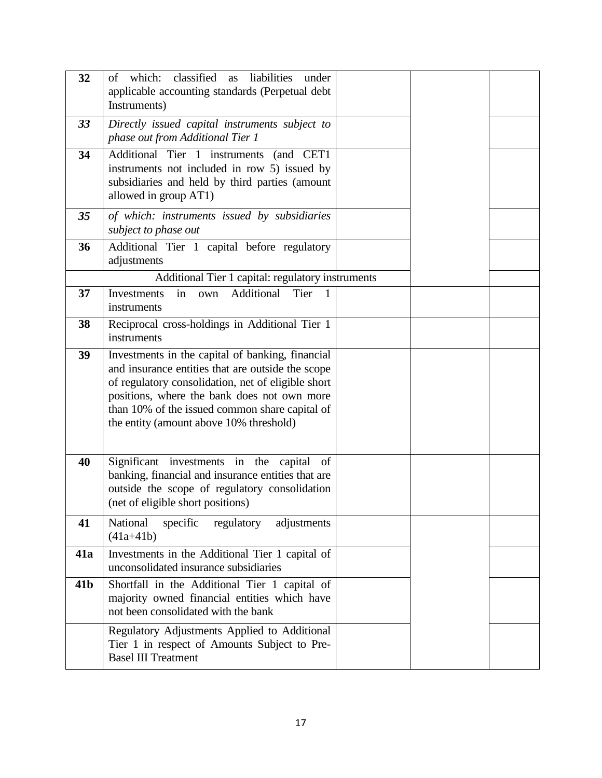| 32              | classified as<br>liabilities<br>which:<br>under<br>of<br>applicable accounting standards (Perpetual debt<br>Instruments)                                                                                                                                                                                |  |  |
|-----------------|---------------------------------------------------------------------------------------------------------------------------------------------------------------------------------------------------------------------------------------------------------------------------------------------------------|--|--|
| 33              | Directly issued capital instruments subject to<br>phase out from Additional Tier 1                                                                                                                                                                                                                      |  |  |
| 34              | Additional Tier 1 instruments (and CET1<br>instruments not included in row 5) issued by<br>subsidiaries and held by third parties (amount<br>allowed in group AT1)                                                                                                                                      |  |  |
| 35              | of which: instruments issued by subsidiaries<br>subject to phase out                                                                                                                                                                                                                                    |  |  |
| 36              | Additional Tier 1 capital before regulatory<br>adjustments                                                                                                                                                                                                                                              |  |  |
|                 | Additional Tier 1 capital: regulatory instruments                                                                                                                                                                                                                                                       |  |  |
| 37              | Additional<br>Investments<br>Tier<br>in<br>own<br>$\overline{1}$<br>instruments                                                                                                                                                                                                                         |  |  |
| 38              | Reciprocal cross-holdings in Additional Tier 1<br>instruments                                                                                                                                                                                                                                           |  |  |
| 39              | Investments in the capital of banking, financial<br>and insurance entities that are outside the scope<br>of regulatory consolidation, net of eligible short<br>positions, where the bank does not own more<br>than 10% of the issued common share capital of<br>the entity (amount above 10% threshold) |  |  |
| 40              | Significant investments in the capital<br>of<br>banking, financial and insurance entities that are<br>outside the scope of regulatory consolidation<br>(net of eligible short positions)                                                                                                                |  |  |
| 41              | National<br>specific<br>regulatory<br>adjustments<br>$(41a+41b)$                                                                                                                                                                                                                                        |  |  |
| <b>41a</b>      | Investments in the Additional Tier 1 capital of<br>unconsolidated insurance subsidiaries                                                                                                                                                                                                                |  |  |
| 41 <sub>b</sub> | Shortfall in the Additional Tier 1 capital of<br>majority owned financial entities which have<br>not been consolidated with the bank                                                                                                                                                                    |  |  |
|                 | Regulatory Adjustments Applied to Additional<br>Tier 1 in respect of Amounts Subject to Pre-<br><b>Basel III Treatment</b>                                                                                                                                                                              |  |  |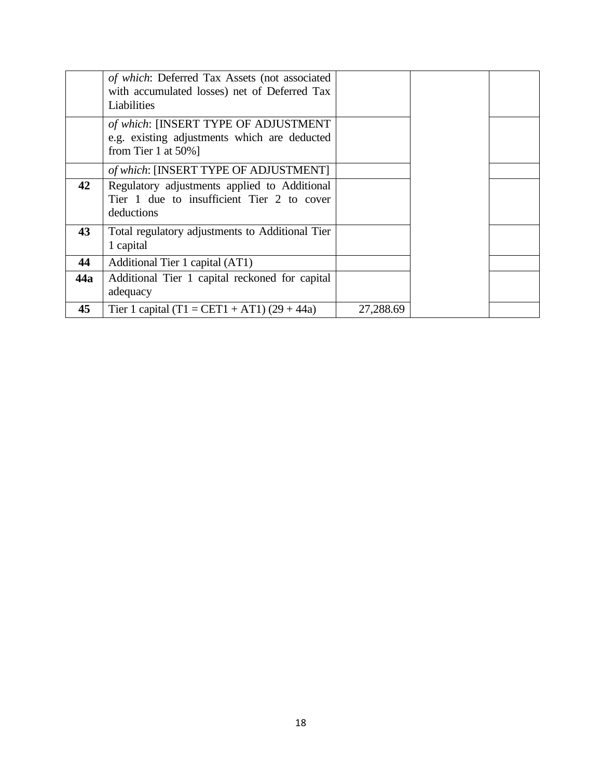|     | of which: Deferred Tax Assets (not associated<br>with accumulated losses) net of Deferred Tax<br>Liabilities    |           |  |
|-----|-----------------------------------------------------------------------------------------------------------------|-----------|--|
|     | of which: [INSERT TYPE OF ADJUSTMENT<br>e.g. existing adjustments which are deducted<br>from Tier 1 at $50\%$ ] |           |  |
|     | of which: [INSERT TYPE OF ADJUSTMENT]                                                                           |           |  |
| 42  | Regulatory adjustments applied to Additional<br>Tier 1 due to insufficient Tier 2 to cover<br>deductions        |           |  |
| 43  | Total regulatory adjustments to Additional Tier<br>1 capital                                                    |           |  |
| 44  | Additional Tier 1 capital (AT1)                                                                                 |           |  |
| 44a | Additional Tier 1 capital reckoned for capital<br>adequacy                                                      |           |  |
| 45  | Tier 1 capital (T1 = CET1 + AT1) $(29 + 44a)$                                                                   | 27,288.69 |  |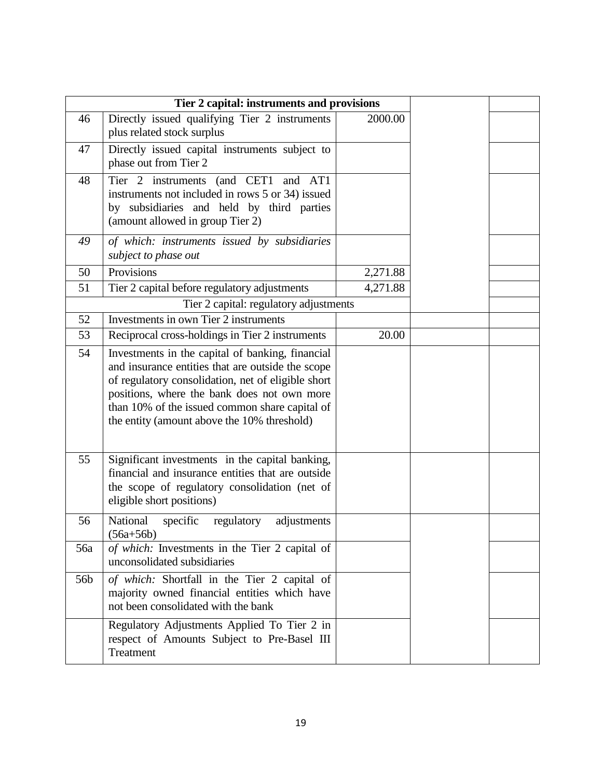|                 | Tier 2 capital: instruments and provisions                                                                                                                                                                                                                                                                  |          |  |
|-----------------|-------------------------------------------------------------------------------------------------------------------------------------------------------------------------------------------------------------------------------------------------------------------------------------------------------------|----------|--|
| 46              | Directly issued qualifying Tier 2 instruments<br>plus related stock surplus                                                                                                                                                                                                                                 | 2000.00  |  |
| 47              | Directly issued capital instruments subject to<br>phase out from Tier 2                                                                                                                                                                                                                                     |          |  |
| 48              | Tier 2 instruments (and CET1 and AT1<br>instruments not included in rows 5 or 34) issued<br>by subsidiaries and held by third parties<br>(amount allowed in group Tier 2)                                                                                                                                   |          |  |
| 49              | of which: instruments issued by subsidiaries<br>subject to phase out                                                                                                                                                                                                                                        |          |  |
| 50              | Provisions                                                                                                                                                                                                                                                                                                  | 2,271.88 |  |
| 51              | Tier 2 capital before regulatory adjustments                                                                                                                                                                                                                                                                | 4,271.88 |  |
|                 | Tier 2 capital: regulatory adjustments                                                                                                                                                                                                                                                                      |          |  |
| 52              | Investments in own Tier 2 instruments                                                                                                                                                                                                                                                                       |          |  |
| 53              | Reciprocal cross-holdings in Tier 2 instruments                                                                                                                                                                                                                                                             | 20.00    |  |
| 54              | Investments in the capital of banking, financial<br>and insurance entities that are outside the scope<br>of regulatory consolidation, net of eligible short<br>positions, where the bank does not own more<br>than 10% of the issued common share capital of<br>the entity (amount above the 10% threshold) |          |  |
| 55              | Significant investments in the capital banking,<br>financial and insurance entities that are outside<br>the scope of regulatory consolidation (net of<br>eligible short positions)                                                                                                                          |          |  |
| 56              | National<br>specific<br>regulatory<br>adjustments<br>$(56a+56b)$                                                                                                                                                                                                                                            |          |  |
| 56a             | of which: Investments in the Tier 2 capital of<br>unconsolidated subsidiaries                                                                                                                                                                                                                               |          |  |
| 56 <sub>b</sub> | of which: Shortfall in the Tier 2 capital of<br>majority owned financial entities which have<br>not been consolidated with the bank                                                                                                                                                                         |          |  |
|                 | Regulatory Adjustments Applied To Tier 2 in<br>respect of Amounts Subject to Pre-Basel III<br>Treatment                                                                                                                                                                                                     |          |  |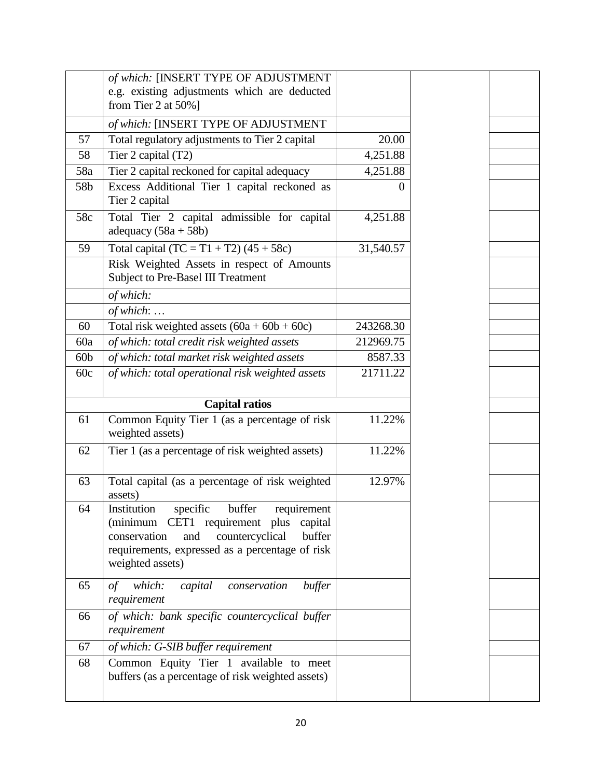|                 | of which: [INSERT TYPE OF ADJUSTMENT                                                                                                                                                                            |           |  |
|-----------------|-----------------------------------------------------------------------------------------------------------------------------------------------------------------------------------------------------------------|-----------|--|
|                 | e.g. existing adjustments which are deducted                                                                                                                                                                    |           |  |
|                 | from Tier 2 at $50\%$ ]                                                                                                                                                                                         |           |  |
|                 | of which: [INSERT TYPE OF ADJUSTMENT                                                                                                                                                                            |           |  |
| 57              | Total regulatory adjustments to Tier 2 capital                                                                                                                                                                  | 20.00     |  |
| 58              | Tier 2 capital (T2)                                                                                                                                                                                             | 4,251.88  |  |
| 58a             | Tier 2 capital reckoned for capital adequacy                                                                                                                                                                    | 4,251.88  |  |
| 58b             | Excess Additional Tier 1 capital reckoned as<br>Tier 2 capital                                                                                                                                                  | 0         |  |
| 58c             | Total Tier 2 capital admissible for capital<br>adequacy $(58a + 58b)$                                                                                                                                           | 4,251.88  |  |
| 59              | Total capital $(TC = T1 + T2) (45 + 58c)$                                                                                                                                                                       | 31,540.57 |  |
|                 | Risk Weighted Assets in respect of Amounts<br>Subject to Pre-Basel III Treatment                                                                                                                                |           |  |
|                 | of which:                                                                                                                                                                                                       |           |  |
|                 | of which:                                                                                                                                                                                                       |           |  |
| 60              | Total risk weighted assets $(60a + 60b + 60c)$                                                                                                                                                                  | 243268.30 |  |
| 60a             | of which: total credit risk weighted assets                                                                                                                                                                     | 212969.75 |  |
| 60 <sub>b</sub> | of which: total market risk weighted assets                                                                                                                                                                     | 8587.33   |  |
| 60c             | of which: total operational risk weighted assets                                                                                                                                                                | 21711.22  |  |
|                 | <b>Capital ratios</b>                                                                                                                                                                                           |           |  |
| 61              | Common Equity Tier 1 (as a percentage of risk<br>weighted assets)                                                                                                                                               | 11.22%    |  |
| 62              | Tier 1 (as a percentage of risk weighted assets)                                                                                                                                                                | 11.22%    |  |
| 63              | Total capital (as a percentage of risk weighted<br>assets)                                                                                                                                                      | 12.97%    |  |
| 64              | Institution specific buffer requirement<br>(minimum CET1 requirement plus<br>capital<br>countercyclical<br>buffer<br>conservation<br>and<br>requirements, expressed as a percentage of risk<br>weighted assets) |           |  |
| 65              | which:<br>capital<br>conservation<br>buffer<br>$\sigma f$<br>requirement                                                                                                                                        |           |  |
| 66              | of which: bank specific countercyclical buffer<br>requirement                                                                                                                                                   |           |  |
| 67              | of which: G-SIB buffer requirement                                                                                                                                                                              |           |  |
| 68              | Common Equity Tier 1 available to meet<br>buffers (as a percentage of risk weighted assets)                                                                                                                     |           |  |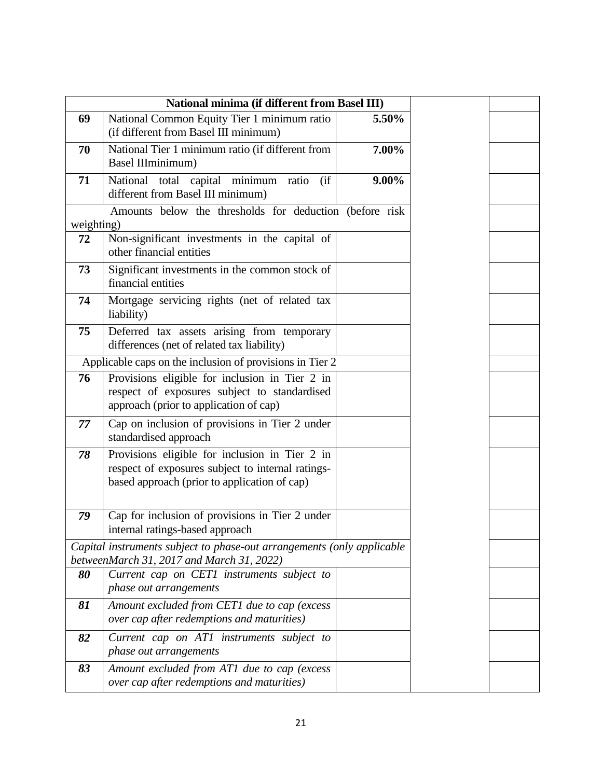|            | National minima (if different from Basel III)                                                                                                       |          |
|------------|-----------------------------------------------------------------------------------------------------------------------------------------------------|----------|
| 69         | National Common Equity Tier 1 minimum ratio<br>(if different from Basel III minimum)                                                                | 5.50%    |
| 70         | National Tier 1 minimum ratio (if different from<br>Basel IIIminimum)                                                                               | 7.00%    |
| 71         | National total capital minimum ratio<br>(ii<br>different from Basel III minimum)                                                                    | $9.00\%$ |
| weighting) | Amounts below the thresholds for deduction (before risk                                                                                             |          |
| 72         | Non-significant investments in the capital of<br>other financial entities                                                                           |          |
| 73         | Significant investments in the common stock of<br>financial entities                                                                                |          |
| 74         | Mortgage servicing rights (net of related tax<br>liability)                                                                                         |          |
| 75         | Deferred tax assets arising from temporary<br>differences (net of related tax liability)                                                            |          |
|            | Applicable caps on the inclusion of provisions in Tier 2                                                                                            |          |
| 76         | Provisions eligible for inclusion in Tier 2 in<br>respect of exposures subject to standardised<br>approach (prior to application of cap)            |          |
| 77         | Cap on inclusion of provisions in Tier 2 under<br>standardised approach                                                                             |          |
| 78         | Provisions eligible for inclusion in Tier 2 in<br>respect of exposures subject to internal ratings-<br>based approach (prior to application of cap) |          |
| 79         | Cap for inclusion of provisions in Tier 2 under<br>internal ratings-based approach                                                                  |          |
|            | Capital instruments subject to phase-out arrangements (only applicable<br>betweenMarch 31, 2017 and March 31, 2022)                                 |          |
| 80         | Current cap on CET1 instruments subject to<br>phase out arrangements                                                                                |          |
| 81         | Amount excluded from CET1 due to cap (excess<br>over cap after redemptions and maturities)                                                          |          |
| 82         | Current cap on AT1 instruments subject to<br>phase out arrangements                                                                                 |          |
| 83         | Amount excluded from AT1 due to cap (excess<br>over cap after redemptions and maturities)                                                           |          |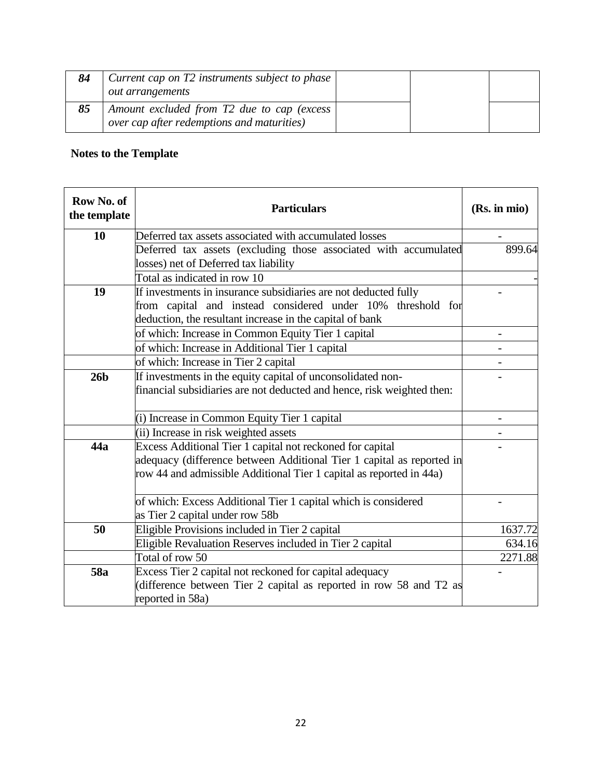| 84 | Current cap on T2 instruments subject to phase<br><i>out arrangements</i>                |  |  |
|----|------------------------------------------------------------------------------------------|--|--|
| 85 | Amount excluded from T2 due to cap (excess<br>over cap after redemptions and maturities) |  |  |

## **Notes to the Template**

| Row No. of<br>the template | <b>Particulars</b>                                                                                                                                                                                        | (Rs. in mio) |
|----------------------------|-----------------------------------------------------------------------------------------------------------------------------------------------------------------------------------------------------------|--------------|
| 10                         | Deferred tax assets associated with accumulated losses                                                                                                                                                    |              |
|                            | Deferred tax assets (excluding those associated with accumulated<br>losses) net of Deferred tax liability                                                                                                 | 899.64       |
|                            | Total as indicated in row 10                                                                                                                                                                              |              |
| 19                         | If investments in insurance subsidiaries are not deducted fully<br>from capital and instead considered under 10% threshold for<br>deduction, the resultant increase in the capital of bank                |              |
|                            | of which: Increase in Common Equity Tier 1 capital                                                                                                                                                        |              |
|                            | of which: Increase in Additional Tier 1 capital                                                                                                                                                           |              |
|                            | of which: Increase in Tier 2 capital                                                                                                                                                                      |              |
| 26 <sub>b</sub>            | If investments in the equity capital of unconsolidated non-<br>financial subsidiaries are not deducted and hence, risk weighted then:                                                                     |              |
|                            | (i) Increase in Common Equity Tier 1 capital                                                                                                                                                              |              |
|                            | (ii) Increase in risk weighted assets                                                                                                                                                                     |              |
| 44a                        | Excess Additional Tier 1 capital not reckoned for capital<br>adequacy (difference between Additional Tier 1 capital as reported in<br>row 44 and admissible Additional Tier 1 capital as reported in 44a) |              |
|                            | of which: Excess Additional Tier 1 capital which is considered<br>as Tier 2 capital under row 58b                                                                                                         |              |
| 50                         | Eligible Provisions included in Tier 2 capital                                                                                                                                                            | 1637.72      |
|                            | Eligible Revaluation Reserves included in Tier 2 capital                                                                                                                                                  | 634.16       |
|                            | Total of row 50                                                                                                                                                                                           | 2271.88      |
| 58a                        | Excess Tier 2 capital not reckoned for capital adequacy<br>(difference between Tier 2 capital as reported in row 58 and T2 as<br>reported in 58a)                                                         |              |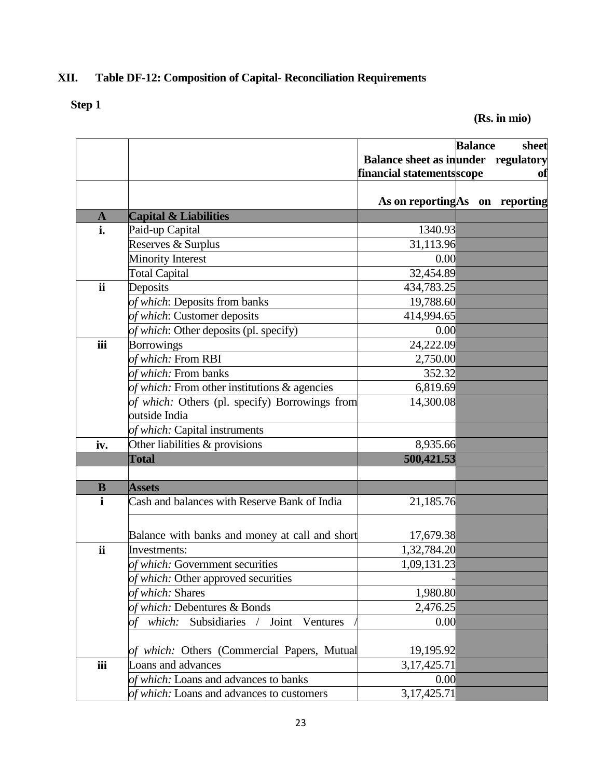## **XII. Table DF-12: Composition of Capital- Reconciliation Requirements**

# **Step 1**

**(Rs. in mio)**

|                          |                                                |                                            | <b>Balance</b> | sheet |
|--------------------------|------------------------------------------------|--------------------------------------------|----------------|-------|
|                          |                                                | <b>Balance sheet as inunder regulatory</b> |                |       |
|                          |                                                | financial statements scope                 |                | of    |
|                          |                                                |                                            |                |       |
|                          |                                                | As on reporting As on reporting            |                |       |
| $\mathbf{A}$             | <b>Capital &amp; Liabilities</b>               |                                            |                |       |
| i.                       | Paid-up Capital                                | 1340.93                                    |                |       |
|                          | Reserves & Surplus                             | 31,113.96                                  |                |       |
|                          | <b>Minority Interest</b>                       | 0.00                                       |                |       |
|                          | <b>Total Capital</b>                           | 32,454.89                                  |                |       |
| <b>ii</b>                | Deposits                                       | 434,783.25                                 |                |       |
|                          | of which: Deposits from banks                  | 19,788.60                                  |                |       |
|                          | of which: Customer deposits                    | 414,994.65                                 |                |       |
|                          | of which: Other deposits (pl. specify)         | 0.00                                       |                |       |
| iii                      | <b>Borrowings</b>                              | 24,222.09                                  |                |       |
|                          | of which: From RBI                             | 2,750.00                                   |                |       |
|                          | of which: From banks                           | 352.32                                     |                |       |
|                          | of which: From other institutions & agencies   | 6,819.69                                   |                |       |
|                          | of which: Others (pl. specify) Borrowings from | 14,300.08                                  |                |       |
|                          | outside India                                  |                                            |                |       |
|                          | of which: Capital instruments                  |                                            |                |       |
| iv.                      | Other liabilities & provisions                 | 8,935.66                                   |                |       |
|                          | <b>Total</b>                                   | 500,421.53                                 |                |       |
|                          |                                                |                                            |                |       |
| B                        | <b>Assets</b>                                  |                                            |                |       |
| $\mathbf{i}$             | Cash and balances with Reserve Bank of India   | 21,185.76                                  |                |       |
|                          |                                                |                                            |                |       |
|                          | Balance with banks and money at call and short | 17,679.38                                  |                |       |
| $\overline{\mathbf{ii}}$ | Investments:                                   | 1,32,784.20                                |                |       |
|                          | of which: Government securities                | 1,09,131.23                                |                |       |
|                          | of which: Other approved securities            |                                            |                |       |
|                          | of which: Shares                               | 1,980.80                                   |                |       |
|                          | of which: Debentures & Bonds                   | 2,476.25                                   |                |       |
|                          | $\frac{1}{2}$                                  |                                            |                |       |
|                          | Subsidiaries<br>Joint<br>which:<br>Ventures    | 0.00                                       |                |       |
|                          |                                                |                                            |                |       |
|                          | of which: Others (Commercial Papers, Mutual    | 19,195.92                                  |                |       |
| iii                      | Loans and advances                             | 3, 17, 425. 71                             |                |       |
|                          | of which: Loans and advances to banks          | 0.00                                       |                |       |
|                          | of which: Loans and advances to customers      | 3, 17, 425. 71                             |                |       |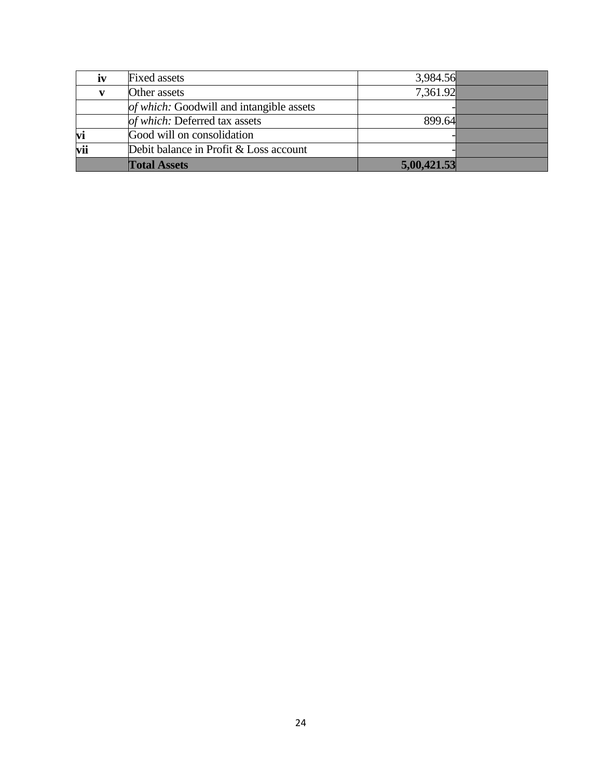|     | <b>Total Assets</b>                      | 5,00,421.53 |  |
|-----|------------------------------------------|-------------|--|
| vii | Debit balance in Profit & Loss account   |             |  |
| vi  | Good will on consolidation               |             |  |
|     | of which: Deferred tax assets            | 899.64      |  |
|     | of which: Goodwill and intangible assets |             |  |
|     | Other assets                             | 7,361.92    |  |
| iv  | <b>Fixed assets</b>                      | 3,984.56    |  |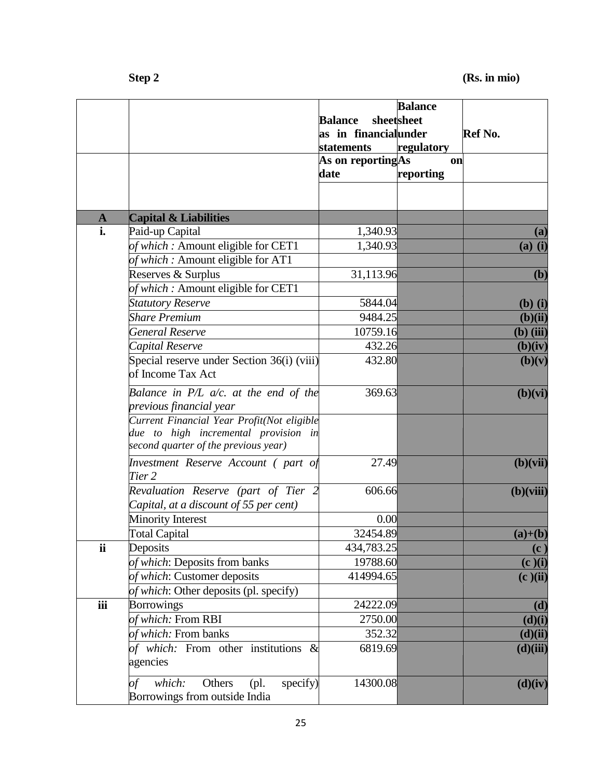|              |                                                                                                                            | <b>Balance</b><br>as in financialunder<br><b>statements</b><br>As on reportingAs<br>date | <b>Balance</b><br>sheetsheet<br>regulatory<br><b>on</b><br>reporting | Ref No.     |
|--------------|----------------------------------------------------------------------------------------------------------------------------|------------------------------------------------------------------------------------------|----------------------------------------------------------------------|-------------|
| $\mathbf{A}$ | <b>Capital &amp; Liabilities</b>                                                                                           |                                                                                          |                                                                      |             |
| i.           | Paid-up Capital                                                                                                            | 1,340.93                                                                                 |                                                                      | (a)         |
|              | of which: Amount eligible for CET1                                                                                         | 1,340.93                                                                                 |                                                                      | $(a)$ $(i)$ |
|              | of which: Amount eligible for AT1                                                                                          |                                                                                          |                                                                      |             |
|              | Reserves & Surplus                                                                                                         | 31,113.96                                                                                |                                                                      | (b)         |
|              | of which: Amount eligible for CET1                                                                                         |                                                                                          |                                                                      |             |
|              | <b>Statutory Reserve</b>                                                                                                   | 5844.04                                                                                  |                                                                      | $(b)$ $(i)$ |
|              | <b>Share Premium</b>                                                                                                       | 9484.25                                                                                  |                                                                      | (b)(ii)     |
|              | General Reserve                                                                                                            | 10759.16                                                                                 |                                                                      | $(b)$ (iii) |
|              | Capital Reserve                                                                                                            | 432.26                                                                                   |                                                                      | (b)(iv)     |
|              | Special reserve under Section 36(i) (viii)<br>of Income Tax Act                                                            | 432.80                                                                                   |                                                                      | (b)(v)      |
|              | Balance in $P/L$ a/c. at the end of the<br>previous financial year                                                         | 369.63                                                                                   |                                                                      | (b)(vi)     |
|              | Current Financial Year Profit(Not eligible<br>due to high incremental provision in<br>second quarter of the previous year) |                                                                                          |                                                                      |             |
|              | Investment Reserve Account (part of<br>Tier 2                                                                              | 27.49                                                                                    |                                                                      | (b)(vii)    |
|              | Revaluation Reserve (part of Tier 2<br>Capital, at a discount of 55 per cent)                                              | 606.66                                                                                   |                                                                      | $(b)(viii)$ |
|              | <b>Minority Interest</b>                                                                                                   | 0.00                                                                                     |                                                                      |             |
|              | <b>Total Capital</b>                                                                                                       | 32454.89                                                                                 |                                                                      | $(a)+(b)$   |
| ii           | Deposits                                                                                                                   | 434,783.25                                                                               |                                                                      | (c)         |
|              | of which: Deposits from banks                                                                                              | 19788.60                                                                                 |                                                                      | (c)(i)      |
|              | of which: Customer deposits                                                                                                | 414994.65                                                                                |                                                                      | (c)(ii)     |
|              | of which: Other deposits (pl. specify)                                                                                     |                                                                                          |                                                                      |             |
| iii          | <b>Borrowings</b>                                                                                                          | 24222.09                                                                                 |                                                                      | (d)         |
|              | of which: From RBI                                                                                                         | 2750.00                                                                                  |                                                                      | (d)(i)      |
|              | of which: From banks                                                                                                       | 352.32                                                                                   |                                                                      | (d)(ii)     |
|              | of which: From other institutions &<br>agencies                                                                            | 6819.69                                                                                  |                                                                      | (d)(iii)    |
|              | specify)<br>which:<br>Others<br>$(pl)$ .<br>of<br>Borrowings from outside India                                            | 14300.08                                                                                 |                                                                      | (d)(iv)     |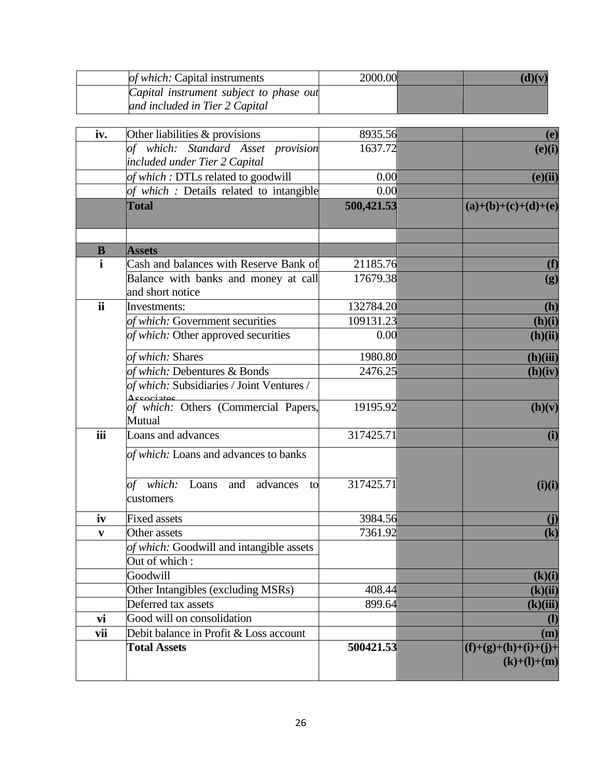| <i>of which:</i> Capital instruments                                      | 2000.00 |  |
|---------------------------------------------------------------------------|---------|--|
| Capital instrument subject to phase out<br>and included in Tier 2 Capital |         |  |

| iv.         | Other liabilities $&$ provisions                         | 8935.56    | (e)                                     |
|-------------|----------------------------------------------------------|------------|-----------------------------------------|
|             | of which: Standard Asset provision                       | 1637.72    | (e)(i)                                  |
|             | included under Tier 2 Capital                            |            |                                         |
|             | of which: DTLs related to goodwill                       | 0.00       | (e)(ii)                                 |
|             | of which : Details related to intangible                 | 0.00       |                                         |
|             | <b>Total</b>                                             | 500,421.53 | $(a)+(b)+(c)+(d)+(e)$                   |
| $\bf{B}$    | <b>Assets</b>                                            |            |                                         |
| $\mathbf i$ | Cash and balances with Reserve Bank of                   | 21185.76   | (f)                                     |
|             | Balance with banks and money at call<br>and short notice | 17679.38   | (g)                                     |
| ii          | Investments:                                             | 132784.20  | (h)                                     |
|             | of which: Government securities                          | 109131.23  | (h)(i)                                  |
|             | of which: Other approved securities                      | 0.00       | (h)(ii)                                 |
|             | of which: Shares                                         | 1980.80    | (h)(iii)                                |
|             | of which: Debentures & Bonds                             | 2476.25    | (h)(iv)                                 |
|             | of which: Subsidiaries / Joint Ventures /<br>Accociator  |            |                                         |
|             | of which: Others (Commercial Papers,<br>Mutual           | 19195.92   | (h)(v)                                  |
| iii         | Loans and advances                                       | 317425.71  | (i)                                     |
|             | of which: Loans and advances to banks                    |            |                                         |
|             | of which:<br>Loans<br>and<br>advances<br>to<br>customers | 317425.71  | (i)(i)                                  |
| iv          | <b>Fixed assets</b>                                      | 3984.56    | $\mathbf{I}$                            |
| V           | Other assets                                             | 7361.92    | $\left( \mathbf{k}\right)$              |
|             | of which: Goodwill and intangible assets                 |            |                                         |
|             | Out of which:                                            |            |                                         |
|             | Goodwill                                                 |            | (k)(i)                                  |
|             | Other Intangibles (excluding MSRs)                       | 408.44     | (k)(ii)                                 |
|             | Deferred tax assets                                      | 899.64     | (k)(iii)                                |
| vi          | Good will on consolidation                               |            | $\mathbf{I}$                            |
| vii         | Debit balance in Profit & Loss account                   |            | (m)                                     |
|             | <b>Total Assets</b>                                      | 500421.53  | $(f)+(g)+(h)+(i)+(j)+$<br>$(k)+(l)+(m)$ |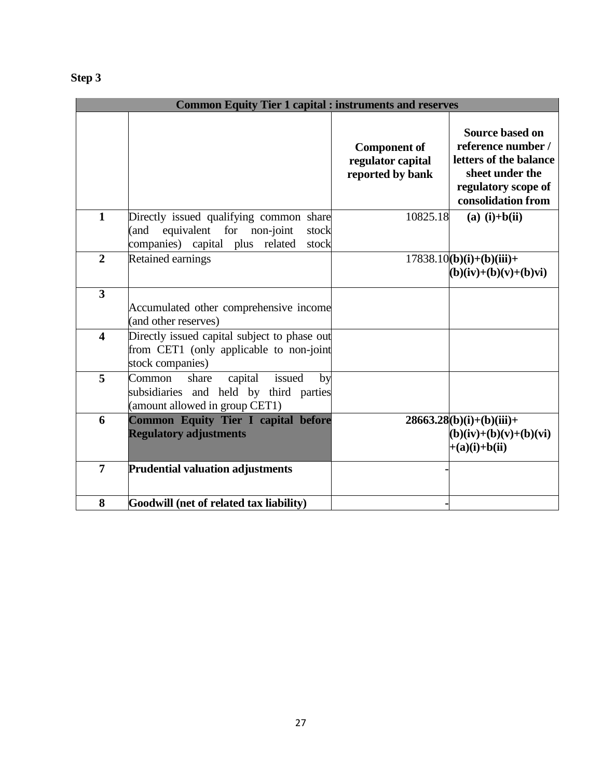| ı<br>ρ<br>۱<br>۰<br>ч |  |
|-----------------------|--|
|-----------------------|--|

|                         | <b>Common Equity Tier 1 capital : instruments and reserves</b>                                                                   |                                                              |                                                                                                                                        |
|-------------------------|----------------------------------------------------------------------------------------------------------------------------------|--------------------------------------------------------------|----------------------------------------------------------------------------------------------------------------------------------------|
|                         |                                                                                                                                  | <b>Component of</b><br>regulator capital<br>reported by bank | <b>Source based on</b><br>reference number /<br>letters of the balance<br>sheet under the<br>regulatory scope of<br>consolidation from |
| $\mathbf{1}$            | Directly issued qualifying common share<br>equivalent for non-joint<br>(and<br>stock<br>companies) capital plus related<br>stock | 10825.18                                                     | $(a)$ (i)+b(ii)                                                                                                                        |
| $\overline{2}$          | Retained earnings                                                                                                                |                                                              | $17838.10(b)(i)+(b)(iii)+$<br>$(b)(iv)+(b)(v)+(b)v$ i)                                                                                 |
| $\overline{\mathbf{3}}$ | Accumulated other comprehensive income<br>(and other reserves)                                                                   |                                                              |                                                                                                                                        |
| $\overline{\mathbf{4}}$ | Directly issued capital subject to phase out<br>from CET1 (only applicable to non-joint<br>stock companies)                      |                                                              |                                                                                                                                        |
| 5                       | capital<br>issued<br>by<br>Common<br>share<br>subsidiaries and held by third parties<br>(amount allowed in group CET1)           |                                                              |                                                                                                                                        |
| 6                       | <b>Common Equity Tier I capital before</b><br><b>Regulatory adjustments</b>                                                      |                                                              | $28663.28(b)(i)+(b)(iii)+$<br>$(b)(iv)+(b)(v)+(b)(vi)$<br>$+(a)(i)+b(ii)$                                                              |
| $\overline{7}$          | <b>Prudential valuation adjustments</b>                                                                                          |                                                              |                                                                                                                                        |
| 8                       | Goodwill (net of related tax liability)                                                                                          |                                                              |                                                                                                                                        |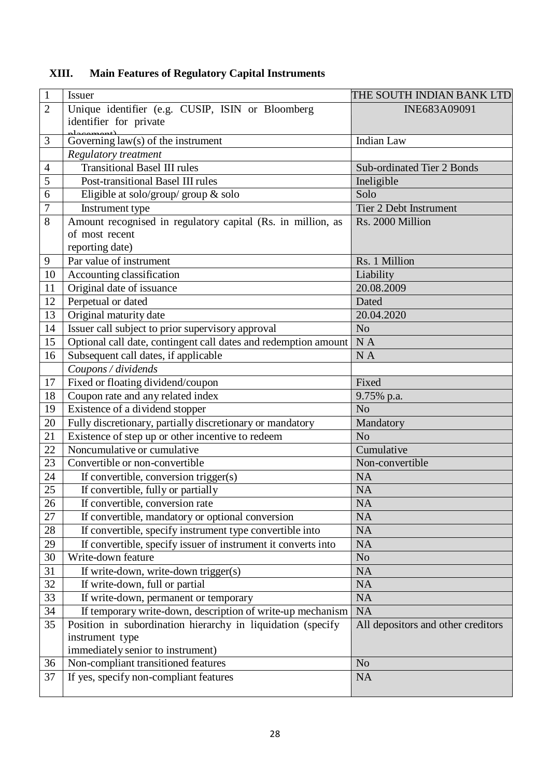| $\mathbf{1}$   | <b>Issuer</b>                                                   | THE SOUTH INDIAN BANK LTD          |
|----------------|-----------------------------------------------------------------|------------------------------------|
| $\overline{2}$ | Unique identifier (e.g. CUSIP, ISIN or Bloomberg                | INE683A09091                       |
|                | identifier for private                                          |                                    |
| 3              | Governing law(s) of the instrument                              | Indian Law                         |
|                | <b>Regulatory treatment</b>                                     |                                    |
| $\overline{4}$ | <b>Transitional Basel III rules</b>                             | <b>Sub-ordinated Tier 2 Bonds</b>  |
| 5              | Post-transitional Basel III rules                               | Ineligible                         |
| 6              | Eligible at solo/group/ group & solo                            | Solo                               |
| $\overline{7}$ | Instrument type                                                 | Tier 2 Debt Instrument             |
| 8              | Amount recognised in regulatory capital (Rs. in million, as     | Rs. 2000 Million                   |
|                | of most recent                                                  |                                    |
|                | reporting date)                                                 |                                    |
| 9              | Par value of instrument                                         | Rs. 1 Million                      |
| 10             | Accounting classification                                       | Liability                          |
| 11             | Original date of issuance                                       | 20.08.2009                         |
| 12             | Perpetual or dated                                              | Dated                              |
| 13             | Original maturity date                                          | 20.04.2020                         |
| 14             | Issuer call subject to prior supervisory approval               | N <sub>o</sub>                     |
| 15             | Optional call date, contingent call dates and redemption amount | NA                                 |
| 16             | Subsequent call dates, if applicable                            | N A                                |
|                | Coupons / dividends                                             |                                    |
| 17             | Fixed or floating dividend/coupon                               | Fixed                              |
| 18             | Coupon rate and any related index                               | 9.75% p.a.                         |
| 19             | Existence of a dividend stopper                                 | N <sub>o</sub>                     |
| 20             | Fully discretionary, partially discretionary or mandatory       | Mandatory                          |
| 21             | Existence of step up or other incentive to redeem               | N <sub>o</sub>                     |
| 22             | Noncumulative or cumulative                                     | Cumulative                         |
| 23             | Convertible or non-convertible                                  | Non-convertible                    |
| 24             | If convertible, conversion trigger(s)                           | <b>NA</b>                          |
| 25             | If convertible, fully or partially                              | <b>NA</b>                          |
| 26             | If convertible, conversion rate                                 | $\overline{NA}$                    |
| 27             | If convertible, mandatory or optional conversion                | <b>NA</b>                          |
| 28             | If convertible, specify instrument type convertible into        | <b>NA</b>                          |
| 29             | If convertible, specify issuer of instrument it converts into   | <b>NA</b>                          |
| 30             | Write-down feature                                              | No                                 |
| 31             | If write-down, write-down trigger(s)                            | <b>NA</b>                          |
| 32             | If write-down, full or partial                                  | <b>NA</b>                          |
| 33             | If write-down, permanent or temporary                           | <b>NA</b>                          |
| 34             | If temporary write-down, description of write-up mechanism      | NA                                 |
| 35             | Position in subordination hierarchy in liquidation (specify     | All depositors and other creditors |
|                | instrument type                                                 |                                    |
|                | immediately senior to instrument)                               |                                    |
| 36             | Non-compliant transitioned features                             | N <sub>o</sub>                     |
| 37             | If yes, specify non-compliant features                          | <b>NA</b>                          |
|                |                                                                 |                                    |